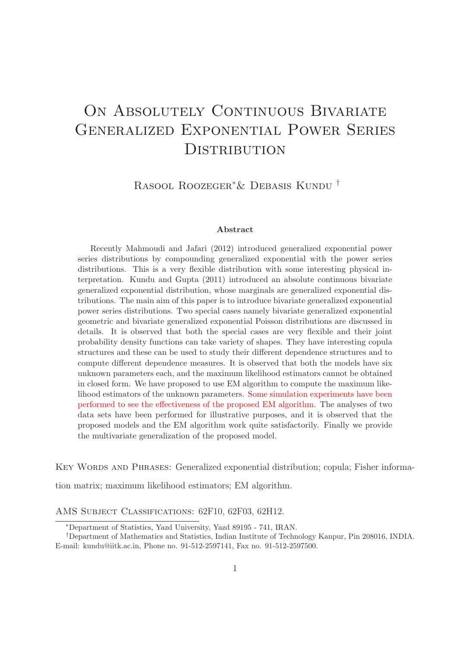# ON ABSOLUTELY CONTINUOUS BIVARIATE Generalized Exponential Power Series **DISTRIBUTION**

Rasool Roozeger∗& Debasis Kundu †

#### Abstract

Recently Mahmoudi and Jafari (2012) introduced generalized exponential power series distributions by compounding generalized exponential with the power series distributions. This is a very flexible distribution with some interesting physical interpretation. Kundu and Gupta (2011) introduced an absolute continuous bivariate generalized exponential distribution, whose marginals are generalized exponential distributions. The main aim of this paper is to introduce bivariate generalized exponential power series distributions. Two special cases namely bivariate generalized exponential geometric and bivariate generalized exponential Poisson distributions are discussed in details. It is observed that both the special cases are very flexible and their joint probability density functions can take variety of shapes. They have interesting copula structures and these can be used to study their different dependence structures and to compute different dependence measures. It is observed that both the models have six unknown parameters each, and the maximum likelihood estimators cannot be obtained in closed form. We have proposed to use EM algorithm to compute the maximum likelihood estimators of the unknown parameters. Some simulation experiments have been performed to see the effectiveness of the proposed EM algorithm. The analyses of two data sets have been performed for illustrative purposes, and it is observed that the proposed models and the EM algorithm work quite satisfactorily. Finally we provide the multivariate generalization of the proposed model.

KEY WORDS AND PHRASES: Generalized exponential distribution; copula; Fisher informa-

tion matrix; maximum likelihood estimators; EM algorithm.

AMS SUBJECT CLASSIFICATIONS: 62F10, 62F03, 62H12.

<sup>∗</sup>Department of Statistics, Yazd University, Yazd 89195 - 741, IRAN.

<sup>†</sup>Department of Mathematics and Statistics, Indian Institute of Technology Kanpur, Pin 208016, INDIA. E-mail: kundu@iitk.ac.in, Phone no. 91-512-2597141, Fax no. 91-512-2597500.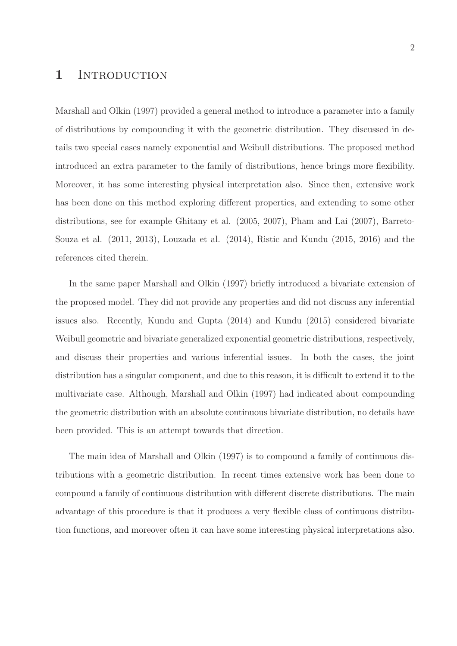### 1 INTRODUCTION

Marshall and Olkin (1997) provided a general method to introduce a parameter into a family of distributions by compounding it with the geometric distribution. They discussed in details two special cases namely exponential and Weibull distributions. The proposed method introduced an extra parameter to the family of distributions, hence brings more flexibility. Moreover, it has some interesting physical interpretation also. Since then, extensive work has been done on this method exploring different properties, and extending to some other distributions, see for example Ghitany et al. (2005, 2007), Pham and Lai (2007), Barreto-Souza et al. (2011, 2013), Louzada et al. (2014), Ristic and Kundu (2015, 2016) and the references cited therein.

In the same paper Marshall and Olkin (1997) briefly introduced a bivariate extension of the proposed model. They did not provide any properties and did not discuss any inferential issues also. Recently, Kundu and Gupta (2014) and Kundu (2015) considered bivariate Weibull geometric and bivariate generalized exponential geometric distributions, respectively, and discuss their properties and various inferential issues. In both the cases, the joint distribution has a singular component, and due to this reason, it is difficult to extend it to the multivariate case. Although, Marshall and Olkin (1997) had indicated about compounding the geometric distribution with an absolute continuous bivariate distribution, no details have been provided. This is an attempt towards that direction.

The main idea of Marshall and Olkin (1997) is to compound a family of continuous distributions with a geometric distribution. In recent times extensive work has been done to compound a family of continuous distribution with different discrete distributions. The main advantage of this procedure is that it produces a very flexible class of continuous distribution functions, and moreover often it can have some interesting physical interpretations also.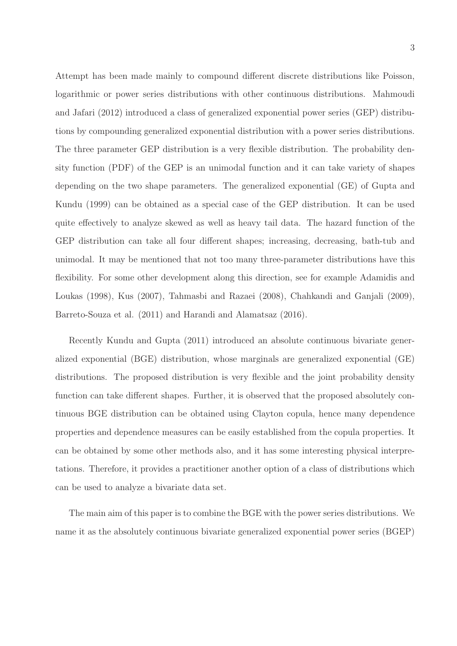Attempt has been made mainly to compound different discrete distributions like Poisson, logarithmic or power series distributions with other continuous distributions. Mahmoudi and Jafari (2012) introduced a class of generalized exponential power series (GEP) distributions by compounding generalized exponential distribution with a power series distributions. The three parameter GEP distribution is a very flexible distribution. The probability density function (PDF) of the GEP is an unimodal function and it can take variety of shapes depending on the two shape parameters. The generalized exponential (GE) of Gupta and Kundu (1999) can be obtained as a special case of the GEP distribution. It can be used quite effectively to analyze skewed as well as heavy tail data. The hazard function of the GEP distribution can take all four different shapes; increasing, decreasing, bath-tub and unimodal. It may be mentioned that not too many three-parameter distributions have this flexibility. For some other development along this direction, see for example Adamidis and Loukas (1998), Kus (2007), Tahmasbi and Razaei (2008), Chahkandi and Ganjali (2009), Barreto-Souza et al. (2011) and Harandi and Alamatsaz (2016).

Recently Kundu and Gupta (2011) introduced an absolute continuous bivariate generalized exponential (BGE) distribution, whose marginals are generalized exponential (GE) distributions. The proposed distribution is very flexible and the joint probability density function can take different shapes. Further, it is observed that the proposed absolutely continuous BGE distribution can be obtained using Clayton copula, hence many dependence properties and dependence measures can be easily established from the copula properties. It can be obtained by some other methods also, and it has some interesting physical interpretations. Therefore, it provides a practitioner another option of a class of distributions which can be used to analyze a bivariate data set.

The main aim of this paper is to combine the BGE with the power series distributions. We name it as the absolutely continuous bivariate generalized exponential power series (BGEP)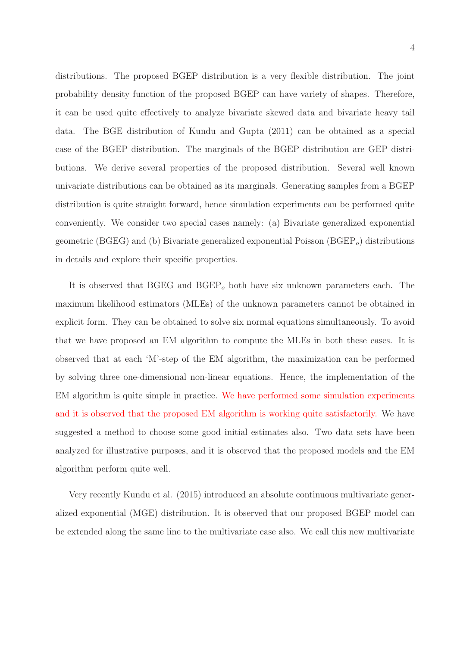distributions. The proposed BGEP distribution is a very flexible distribution. The joint probability density function of the proposed BGEP can have variety of shapes. Therefore, it can be used quite effectively to analyze bivariate skewed data and bivariate heavy tail data. The BGE distribution of Kundu and Gupta (2011) can be obtained as a special case of the BGEP distribution. The marginals of the BGEP distribution are GEP distributions. We derive several properties of the proposed distribution. Several well known univariate distributions can be obtained as its marginals. Generating samples from a BGEP distribution is quite straight forward, hence simulation experiments can be performed quite conveniently. We consider two special cases namely: (a) Bivariate generalized exponential geometric (BGEG) and (b) Bivariate generalized exponential Poisson ( $BGEP<sub>o</sub>$ ) distributions in details and explore their specific properties.

It is observed that BGEG and  $BGEP<sub>o</sub>$  both have six unknown parameters each. The maximum likelihood estimators (MLEs) of the unknown parameters cannot be obtained in explicit form. They can be obtained to solve six normal equations simultaneously. To avoid that we have proposed an EM algorithm to compute the MLEs in both these cases. It is observed that at each 'M'-step of the EM algorithm, the maximization can be performed by solving three one-dimensional non-linear equations. Hence, the implementation of the EM algorithm is quite simple in practice. We have performed some simulation experiments and it is observed that the proposed EM algorithm is working quite satisfactorily. We have suggested a method to choose some good initial estimates also. Two data sets have been analyzed for illustrative purposes, and it is observed that the proposed models and the EM algorithm perform quite well.

Very recently Kundu et al. (2015) introduced an absolute continuous multivariate generalized exponential (MGE) distribution. It is observed that our proposed BGEP model can be extended along the same line to the multivariate case also. We call this new multivariate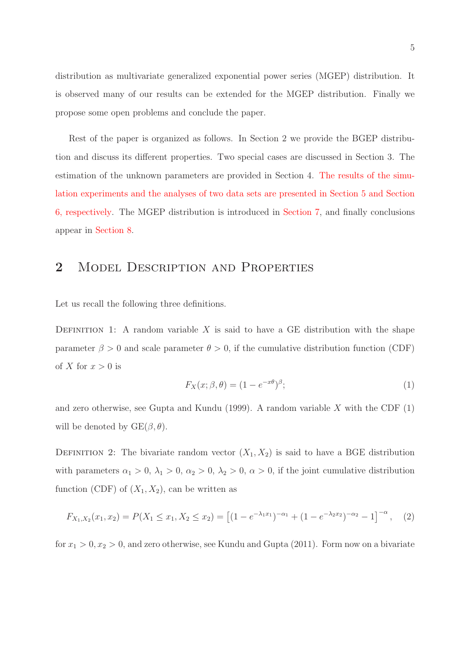distribution as multivariate generalized exponential power series (MGEP) distribution. It is observed many of our results can be extended for the MGEP distribution. Finally we propose some open problems and conclude the paper.

Rest of the paper is organized as follows. In Section 2 we provide the BGEP distribution and discuss its different properties. Two special cases are discussed in Section 3. The estimation of the unknown parameters are provided in Section 4. The results of the simulation experiments and the analyses of two data sets are presented in Section 5 and Section 6, respectively. The MGEP distribution is introduced in Section 7, and finally conclusions appear in Section 8.

## 2 MODEL DESCRIPTION AND PROPERTIES

Let us recall the following three definitions.

DEFINITION 1: A random variable  $X$  is said to have a GE distribution with the shape parameter  $\beta > 0$  and scale parameter  $\theta > 0$ , if the cumulative distribution function (CDF) of X for  $x > 0$  is

$$
F_X(x; \beta, \theta) = (1 - e^{-x\theta})^{\beta};\tag{1}
$$

and zero otherwise, see Gupta and Kundu (1999). A random variable  $X$  with the CDF (1) will be denoted by  $GE(\beta, \theta)$ .

DEFINITION 2: The bivariate random vector  $(X_1, X_2)$  is said to have a BGE distribution with parameters  $\alpha_1 > 0$ ,  $\lambda_1 > 0$ ,  $\alpha_2 > 0$ ,  $\lambda_2 > 0$ ,  $\alpha > 0$ , if the joint cumulative distribution function (CDF) of  $(X_1, X_2)$ , can be written as

$$
F_{X_1,X_2}(x_1,x_2) = P(X_1 \le x_1, X_2 \le x_2) = \left[ (1 - e^{-\lambda_1 x_1})^{-\alpha_1} + (1 - e^{-\lambda_2 x_2})^{-\alpha_2} - 1 \right]^{-\alpha}, \quad (2)
$$

for  $x_1 > 0, x_2 > 0$ , and zero otherwise, see Kundu and Gupta (2011). Form now on a bivariate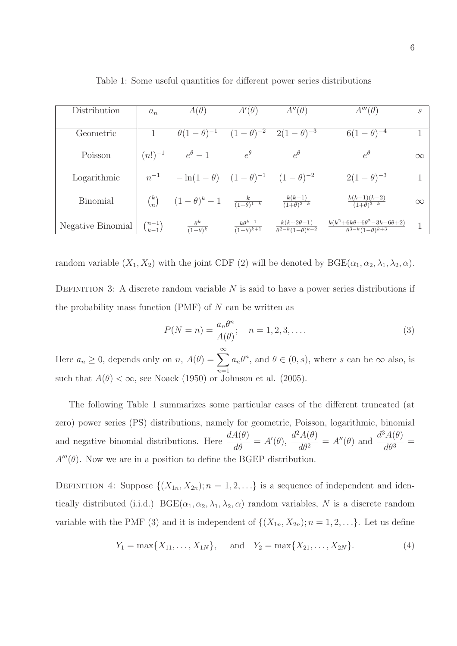| Distribution      | $a_n$              | $A(\theta)$                                                                     | $A'(\theta)$                                     | $A''(\theta)$                                                 | $A'''(\theta)$                                                             | $\mathcal{S}_{\mathcal{S}}$ |
|-------------------|--------------------|---------------------------------------------------------------------------------|--------------------------------------------------|---------------------------------------------------------------|----------------------------------------------------------------------------|-----------------------------|
| Geometric         |                    | $\theta(1-\theta)^{-1}$                                                         | $(1-\overline{\theta})^{-2}$                     | $2(1-\theta)^{-3}$                                            | $6(1-\theta)^{-4}$                                                         |                             |
| Poisson           | $(n!)^{-1}$        | $e^{\theta}-1$                                                                  | $e^{\theta}$                                     | $e^{\theta}$                                                  | $e^{\theta}$                                                               | $\infty$                    |
| Logarithmic       | $n^{-1}$           | $-\ln(1-\theta)$ $(1-\theta)^{-1}$ $(1-\theta)^{-2}$                            |                                                  |                                                               | $2(1-\theta)^{-3}$                                                         |                             |
| <b>Binomial</b>   | $\binom{k}{n}$     | $(1-\theta)^k-1$ $\frac{k}{(1+\theta)^{1-k}}$ $\frac{k(k-1)}{(1+\theta)^{2-k}}$ |                                                  |                                                               | $\frac{k(k-1)(k-2)}{(1+\theta)^{3-k}}$                                     | $\infty$                    |
| Negative Binomial | $\binom{n-1}{k-1}$ | $\theta^k$<br>$\frac{1}{(1-\theta)^k}$                                          | $k\theta^{k-1}$<br>$\overline{(1-\theta)^{k+1}}$ | $k(k+2\theta-1)$<br>$\overline{\theta^{2-k}(1-\theta)^{k+2}}$ | $k(k^2+6k\theta+6\theta^2-3k-6\theta+2)$<br>$\theta^{3-k}(1-\theta)^{k+3}$ |                             |

Table 1: Some useful quantities for different power series distributions

random variable  $(X_1, X_2)$  with the joint CDF (2) will be denoted by  $BGE(\alpha_1, \alpha_2, \lambda_1, \lambda_2, \alpha)$ .

DEFINITION 3: A discrete random variable  $N$  is said to have a power series distributions if the probability mass function  $(PMF)$  of N can be written as

$$
P(N = n) = \frac{a_n \theta^n}{A(\theta)}; \quad n = 1, 2, 3, ....
$$
 (3)

Here  $a_n \geq 0$ , depends only on  $n$ ,  $A(\theta) = \sum_{n=0}^{\infty}$  $n=1$  $a_n\theta^n$ , and  $\theta \in (0, s)$ , where s can be  $\infty$  also, is such that  $A(\theta) < \infty$ , see Noack (1950) or Johnson et al. (2005).

The following Table 1 summarizes some particular cases of the different truncated (at zero) power series (PS) distributions, namely for geometric, Poisson, logarithmic, binomial and negative binomial distributions. Here  $\frac{dA(\theta)}{d\theta}$  $\frac{A(\theta)}{d\theta} = A'(\theta), \frac{d^2A(\theta)}{d\theta^2}$  $\frac{d^{2}A(\theta)}{d\theta^{2}} = A''(\theta)$  and  $\frac{d^{3}A(\theta)}{d\theta^{3}}$  $\frac{d\theta^3}{d\theta^3} =$  $A'''(\theta)$ . Now we are in a position to define the BGEP distribution.

DEFINITION 4: Suppose  $\{(X_{1n}, X_{2n}); n = 1, 2, \ldots\}$  is a sequence of independent and identically distributed (i.i.d.)  $BGE(\alpha_1, \alpha_2, \lambda_1, \lambda_2, \alpha)$  random variables, N is a discrete random variable with the PMF (3) and it is independent of  $\{(X_{1n}, X_{2n}); n = 1, 2, \ldots\}$ . Let us define

$$
Y_1 = \max\{X_{11}, \ldots, X_{1N}\}, \quad \text{and} \quad Y_2 = \max\{X_{21}, \ldots, X_{2N}\}.
$$
 (4)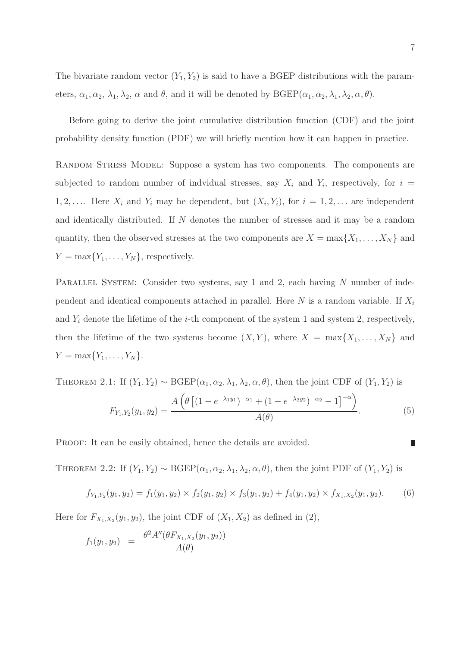The bivariate random vector  $(Y_1, Y_2)$  is said to have a BGEP distributions with the parameters,  $\alpha_1, \alpha_2, \lambda_1, \lambda_2, \alpha$  and  $\theta$ , and it will be denoted by  $BGEP(\alpha_1, \alpha_2, \lambda_1, \lambda_2, \alpha, \theta)$ .

Before going to derive the joint cumulative distribution function (CDF) and the joint probability density function (PDF) we will briefly mention how it can happen in practice.

Random Stress Model: Suppose a system has two components. The components are subjected to random number of indvidual stresses, say  $X_i$  and  $Y_i$ , respectively, for  $i =$  $1, 2, \ldots$  Here  $X_i$  and  $Y_i$  may be dependent, but  $(X_i, Y_i)$ , for  $i = 1, 2, \ldots$  are independent and identically distributed. If N denotes the number of stresses and it may be a random quantity, then the observed stresses at the two components are  $X = \max\{X_1, \ldots, X_N\}$  and  $Y = \max\{Y_1, \ldots, Y_N\}$ , respectively.

PARALLEL SYSTEM: Consider two systems, say 1 and 2, each having N number of independent and identical components attached in parallel. Here N is a random variable. If  $X_i$ and  $Y_i$  denote the lifetime of the *i*-th component of the system 1 and system 2, respectively, then the lifetime of the two systems become  $(X, Y)$ , where  $X = \max\{X_1, \ldots, X_N\}$  and  $Y = \max\{Y_1, \ldots, Y_N\}.$ 

THEOREM 2.1: If  $(Y_1, Y_2) \sim \text{BGEP}(\alpha_1, \alpha_2, \lambda_1, \lambda_2, \alpha, \theta)$ , then the joint CDF of  $(Y_1, Y_2)$  is

$$
F_{Y_1,Y_2}(y_1,y_2) = \frac{A\left(\theta\left[ (1 - e^{-\lambda_1 y_1})^{-\alpha_1} + (1 - e^{-\lambda_2 y_2})^{-\alpha_2} - 1 \right]^{-\alpha}\right)}{A(\theta)}.
$$
\n(5)

PROOF: It can be easily obtained, hence the details are avoided.

THEOREM 2.2: If  $(Y_1, Y_2) \sim \text{BGEP}(\alpha_1, \alpha_2, \lambda_1, \lambda_2, \alpha, \theta)$ , then the joint PDF of  $(Y_1, Y_2)$  is

$$
f_{Y_1,Y_2}(y_1,y_2) = f_1(y_1,y_2) \times f_2(y_1,y_2) \times f_3(y_1,y_2) + f_4(y_1,y_2) \times f_{X_1,X_2}(y_1,y_2). \tag{6}
$$

Here for  $F_{X_1,X_2}(y_1, y_2)$ , the joint CDF of  $(X_1, X_2)$  as defined in  $(2)$ ,

$$
f_1(y_1, y_2) = \frac{\theta^2 A''(\theta F_{X_1, X_2}(y_1, y_2))}{A(\theta)}
$$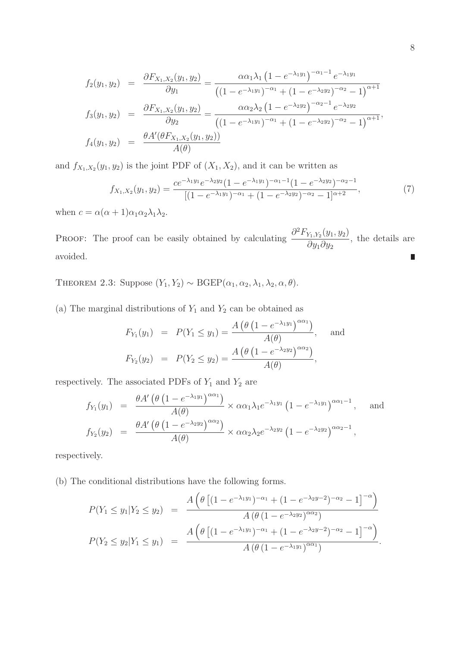$$
f_2(y_1, y_2) = \frac{\partial F_{X_1, X_2}(y_1, y_2)}{\partial y_1} = \frac{\alpha \alpha_1 \lambda_1 (1 - e^{-\lambda_1 y_1})^{-\alpha_1 - 1} e^{-\lambda_1 y_1}}{\left( (1 - e^{-\lambda_1 y_1})^{-\alpha_1} + (1 - e^{-\lambda_2 y_2})^{-\alpha_2} - 1 \right)^{\alpha + 1}}
$$
  
\n
$$
f_3(y_1, y_2) = \frac{\partial F_{X_1, X_2}(y_1, y_2)}{\partial y_2} = \frac{\alpha \alpha_2 \lambda_2 (1 - e^{-\lambda_2 y_2})^{-\alpha_2 - 1} e^{-\lambda_2 y_2}}{\left( (1 - e^{-\lambda_1 y_1})^{-\alpha_1} + (1 - e^{-\lambda_2 y_2})^{-\alpha_2} - 1 \right)^{\alpha + 1}},
$$
  
\n
$$
f_4(y_1, y_2) = \frac{\theta A'(\theta F_{X_1, X_2}(y_1, y_2))}{A(\theta)}
$$

and  $f_{X_1,X_2}(y_1, y_2)$  is the joint PDF of  $(X_1, X_2)$ , and it can be written as

$$
f_{X_1,X_2}(y_1,y_2) = \frac{ce^{-\lambda_1 y_1} e^{-\lambda_2 y_2} (1 - e^{-\lambda_1 y_1})^{-\alpha_1 - 1} (1 - e^{-\lambda_2 y_2})^{-\alpha_2 - 1}}{[(1 - e^{-\lambda_1 y_1})^{-\alpha_1} + (1 - e^{-\lambda_2 y_2})^{-\alpha_2} - 1]^{\alpha + 2}},
$$
\n(7)

when  $c = \alpha(\alpha + 1)\alpha_1\alpha_2\lambda_1\lambda_2$ .

PROOF: The proof can be easily obtained by calculating  $\frac{\partial^2 F_{Y_1,Y_2}(y_1, y_2)}{\partial y_1}$ , the details are  $\partial y_1 \partial y_2$ avoided. Ľ

THEOREM 2.3: Suppose  $(Y_1, Y_2) \sim \text{BGEP}(\alpha_1, \alpha_2, \lambda_1, \lambda_2, \alpha, \theta)$ .

(a) The marginal distributions of  $Y_1$  and  $Y_2$  can be obtained as

$$
F_{Y_1}(y_1) = P(Y_1 \le y_1) = \frac{A(\theta(1 - e^{-\lambda_1 y_1})^{\alpha \alpha_1})}{A(\theta)}, \text{ and}
$$
  

$$
F_{Y_2}(y_2) = P(Y_2 \le y_2) = \frac{A(\theta(1 - e^{-\lambda_2 y_2})^{\alpha \alpha_2})}{A(\theta)},
$$

respectively. The associated PDFs of  $\mathcal{Y}_1$  and  $\mathcal{Y}_2$  are

$$
f_{Y_1}(y_1) = \frac{\theta A' \left(\theta \left(1 - e^{-\lambda_1 y_1}\right)^{\alpha \alpha_1}\right)}{A(\theta)} \times \alpha \alpha_1 \lambda_1 e^{-\lambda_1 y_1} \left(1 - e^{-\lambda_1 y_1}\right)^{\alpha \alpha_1 - 1}, \text{ and}
$$
  

$$
f_{Y_2}(y_2) = \frac{\theta A' \left(\theta \left(1 - e^{-\lambda_2 y_2}\right)^{\alpha \alpha_2}\right)}{A(\theta)} \times \alpha \alpha_2 \lambda_2 e^{-\lambda_2 y_2} \left(1 - e^{-\lambda_2 y_2}\right)^{\alpha \alpha_2 - 1},
$$

respectively.

(b) The conditional distributions have the following forms.

$$
P(Y_1 \le y_1 | Y_2 \le y_2) = \frac{A\left(\theta\left[ (1 - e^{-\lambda_1 y_1})^{-\alpha_1} + (1 - e^{-\lambda_2 y - 2})^{-\alpha_2} - 1 \right]^{-\alpha}\right)}{A\left(\theta\left(1 - e^{-\lambda_2 y_2}\right)^{\alpha\alpha_2}\right)}
$$

$$
P(Y_2 \le y_2 | Y_1 \le y_1) = \frac{A\left(\theta\left[ (1 - e^{-\lambda_1 y_1})^{-\alpha_1} + (1 - e^{-\lambda_2 y - 2})^{-\alpha_2} - 1 \right]^{-\alpha}\right)}{A\left(\theta\left(1 - e^{-\lambda_1 y_1}\right)^{\alpha\alpha_1}\right)}.
$$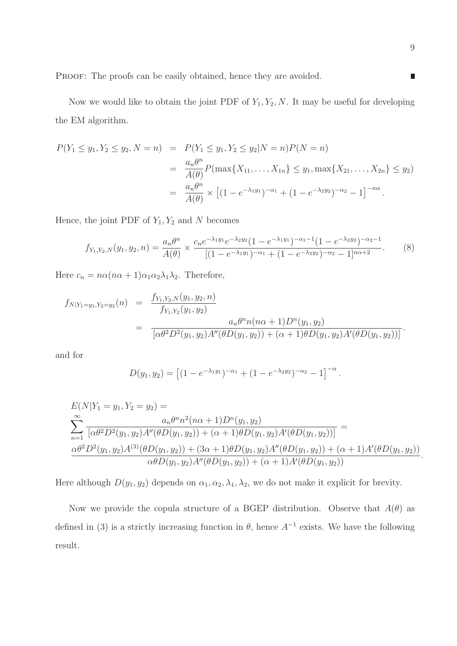Now we would like to obtain the joint PDF of  $Y_1, Y_2, N$ . It may be useful for developing the EM algorithm.

$$
P(Y_1 \le y_1, Y_2 \le y_2, N = n) = P(Y_1 \le y_1, Y_2 \le y_2 | N = n) P(N = n)
$$
  
= 
$$
\frac{a_n \theta^n}{A(\theta)} P(\max\{X_{11}, \dots, X_{1n}\} \le y_1, \max\{X_{21}, \dots, X_{2n}\} \le y_2)
$$
  
= 
$$
\frac{a_n \theta^n}{A(\theta)} \times \left[ (1 - e^{-\lambda_1 y_1})^{-\alpha_1} + (1 - e^{-\lambda_2 y_2})^{-\alpha_2} - 1 \right]^{-n\alpha}.
$$

Hence, the joint PDF of  $Y_1, Y_2$  and N becomes

$$
f_{Y_1,Y_2,N}(y_1,y_2,n) = \frac{a_n \theta^n}{A(\theta)} \times \frac{c_n e^{-\lambda_1 y_1} e^{-\lambda_2 y_2} (1 - e^{-\lambda_1 y_1})^{-\alpha_1 - 1} (1 - e^{-\lambda_2 y_2})^{-\alpha_2 - 1}}{[(1 - e^{-\lambda_1 y_1})^{-\alpha_1} + (1 - e^{-\lambda_2 y_2})^{-\alpha_2} - 1]^{n\alpha + 2}}.
$$
 (8)

Here  $c_n = n\alpha(n\alpha + 1)\alpha_1\alpha_2\lambda_1\lambda_2$ . Therefore,

$$
f_{N|Y_1=y_1,Y_2=y_2}(n) = \frac{f_{Y_1,Y_2,N}(y_1,y_2,n)}{f_{Y_1,Y_2}(y_1,y_2)} = \frac{a_n \theta^n n(n\alpha+1)D^n(y_1,y_2)}{[\alpha \theta^2 D^2(y_1,y_2)A''(\theta D(y_1,y_2)) + (\alpha+1)\theta D(y_1,y_2)A'(\theta D(y_1,y_2))]}.
$$

and for

$$
D(y_1, y_2) = \left[ (1 - e^{-\lambda_1 y_1})^{-\alpha_1} + (1 - e^{-\lambda_2 y_2})^{-\alpha_2} - 1 \right]^{-\alpha}.
$$

$$
E(N|Y_1 = y_1, Y_2 = y_2) =
$$
  
\n
$$
\sum_{n=1}^{\infty} \frac{a_n \theta^n n^2 (n\alpha + 1) D^n(y_1, y_2)}{[\alpha \theta^2 D^2(y_1, y_2) A''(\theta D(y_1, y_2)) + (\alpha + 1) \theta D(y_1, y_2) A'(\theta D(y_1, y_2))]} =
$$
  
\n
$$
\frac{\alpha \theta^2 D^2(y_1, y_2) A^{(3)}(\theta D(y_1, y_2)) + (3\alpha + 1) \theta D(y_1, y_2) A''(\theta D(y_1, y_2)) + (\alpha + 1) A'(\theta D(y_1, y_2))}{\alpha \theta D(y_1, y_2) A''(\theta D(y_1, y_2)) + (\alpha + 1) A'(\theta D(y_1, y_2))}.
$$

Here although  $D(y_1, y_2)$  depends on  $\alpha_1, \alpha_2, \lambda_1, \lambda_2$ , we do not make it explicit for brevity.

Now we provide the copula structure of a BGEP distribution. Observe that  $A(\theta)$  as defined in (3) is a strictly increasing function in  $\theta$ , hence  $A^{-1}$  exists. We have the following result.

 $\blacksquare$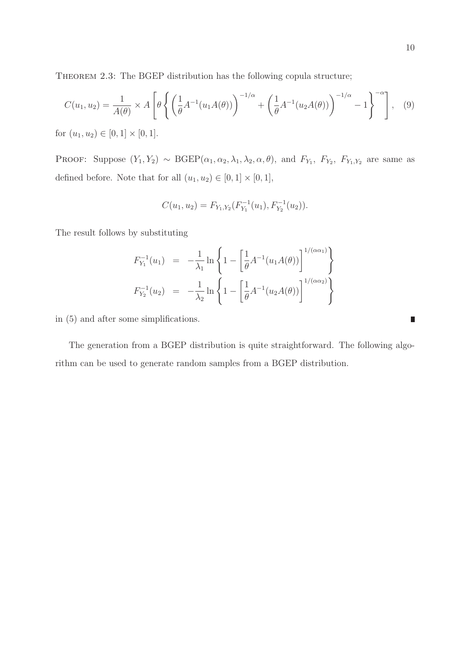THEOREM 2.3: The BGEP distribution has the following copula structure;

$$
C(u_1, u_2) = \frac{1}{A(\theta)} \times A\left[\theta \left\{ \left(\frac{1}{\theta} A^{-1}(u_1 A(\theta))\right)^{-1/\alpha} + \left(\frac{1}{\theta} A^{-1}(u_2 A(\theta))\right)^{-1/\alpha} - 1 \right\}^{-\alpha} \right], \quad (9)
$$

for  $(u_1, u_2) \in [0, 1] \times [0, 1]$ .

PROOF: Suppose  $(Y_1, Y_2) \sim \text{BGEP}(\alpha_1, \alpha_2, \lambda_1, \lambda_2, \alpha, \theta)$ , and  $F_{Y_1}$ ,  $F_{Y_2}$ ,  $F_{Y_1, Y_2}$  are same as defined before. Note that for all  $(u_1, u_2) \in [0, 1] \times [0, 1]$ ,

$$
C(u_1, u_2) = F_{Y_1, Y_2}(F_{Y_1}^{-1}(u_1), F_{Y_2}^{-1}(u_2)).
$$

The result follows by substituting

$$
F_{Y_1}^{-1}(u_1) = -\frac{1}{\lambda_1} \ln \left\{ 1 - \left[ \frac{1}{\theta} A^{-1}(u_1 A(\theta)) \right]^{1/(\alpha \alpha_1)} \right\}
$$
  

$$
F_{Y_2}^{-1}(u_2) = -\frac{1}{\lambda_2} \ln \left\{ 1 - \left[ \frac{1}{\theta} A^{-1}(u_2 A(\theta)) \right]^{1/(\alpha \alpha_2)} \right\}
$$

in (5) and after some simplifications.

The generation from a BGEP distribution is quite straightforward. The following algorithm can be used to generate random samples from a BGEP distribution.

Ľ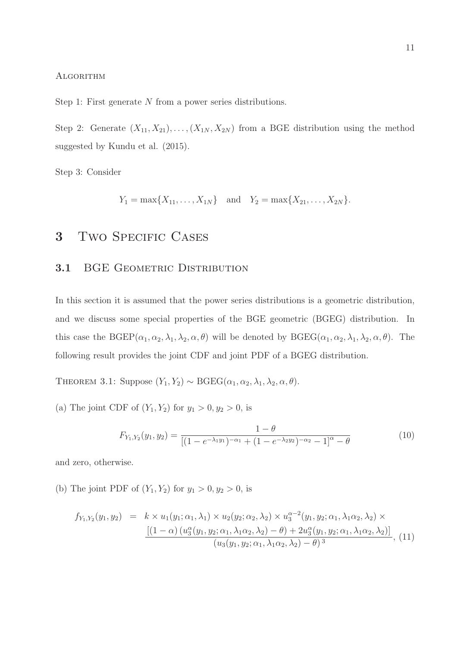#### **ALGORITHM**

Step 1: First generate  $N$  from a power series distributions.

Step 2: Generate  $(X_{11}, X_{21}), \ldots, (X_{1N}, X_{2N})$  from a BGE distribution using the method suggested by Kundu et al. (2015).

Step 3: Consider

 $Y_1 = \max\{X_{11}, \ldots, X_{1N}\}\$ and  $Y_2 = \max\{X_{21}, \ldots, X_{2N}\}.$ 

## 3 TWO SPECIFIC CASES

#### 3.1 BGE GEOMETRIC DISTRIBUTION

In this section it is assumed that the power series distributions is a geometric distribution, and we discuss some special properties of the BGE geometric (BGEG) distribution. In this case the  $BGEP(\alpha_1, \alpha_2, \lambda_1, \lambda_2, \alpha, \theta)$  will be denoted by  $BGEG(\alpha_1, \alpha_2, \lambda_1, \lambda_2, \alpha, \theta)$ . The following result provides the joint CDF and joint PDF of a BGEG distribution.

THEOREM 3.1: Suppose  $(Y_1, Y_2) \sim \text{BGEG}(\alpha_1, \alpha_2, \lambda_1, \lambda_2, \alpha, \theta)$ .

(a) The joint CDF of  $(Y_1, Y_2)$  for  $y_1 > 0, y_2 > 0$ , is

$$
F_{Y_1,Y_2}(y_1,y_2) = \frac{1-\theta}{\left[ (1 - e^{-\lambda_1 y_1})^{-\alpha_1} + (1 - e^{-\lambda_2 y_2})^{-\alpha_2} - 1 \right]^{\alpha} - \theta} \tag{10}
$$

and zero, otherwise.

(b) The joint PDF of  $(Y_1, Y_2)$  for  $y_1 > 0, y_2 > 0$ , is

$$
f_{Y_1,Y_2}(y_1, y_2) = k \times u_1(y_1; \alpha_1, \lambda_1) \times u_2(y_2; \alpha_2, \lambda_2) \times u_3^{\alpha-2}(y_1, y_2; \alpha_1, \lambda_1 \alpha_2, \lambda_2) \times \frac{[(1-\alpha)(u_3^{\alpha}(y_1, y_2; \alpha_1, \lambda_1 \alpha_2, \lambda_2) - \theta) + 2u_3^{\alpha}(y_1, y_2; \alpha_1, \lambda_1 \alpha_2, \lambda_2)]}{(u_3(y_1, y_2; \alpha_1, \lambda_1 \alpha_2, \lambda_2) - \theta)^3},
$$
(11)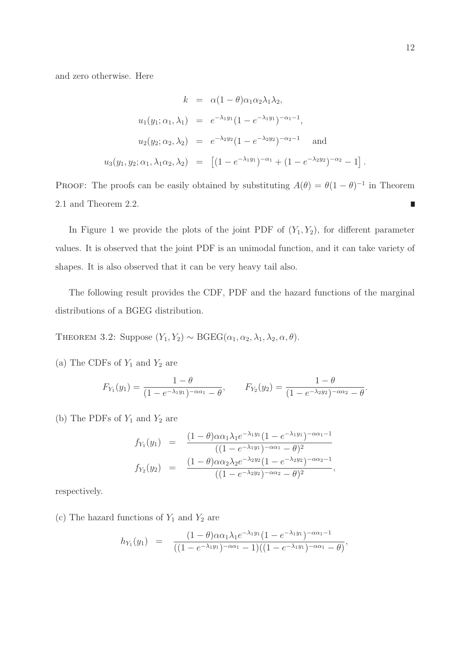and zero otherwise. Here

$$
k = \alpha (1 - \theta) \alpha_1 \alpha_2 \lambda_1 \lambda_2,
$$
  
\n
$$
u_1(y_1; \alpha_1, \lambda_1) = e^{-\lambda_1 y_1} (1 - e^{-\lambda_1 y_1})^{-\alpha_1 - 1},
$$
  
\n
$$
u_2(y_2; \alpha_2, \lambda_2) = e^{-\lambda_2 y_2} (1 - e^{-\lambda_2 y_2})^{-\alpha_2 - 1}
$$
 and  
\n
$$
u_3(y_1, y_2; \alpha_1, \lambda_1 \alpha_2, \lambda_2) = [(1 - e^{-\lambda_1 y_1})^{-\alpha_1} + (1 - e^{-\lambda_2 y_2})^{-\alpha_2} - 1].
$$

PROOF: The proofs can be easily obtained by substituting  $A(\theta) = \theta(1-\theta)^{-1}$  in Theorem 2.1 and Theorem 2.2.  $\overline{\phantom{a}}$ 

In Figure 1 we provide the plots of the joint PDF of  $(Y_1, Y_2)$ , for different parameter values. It is observed that the joint PDF is an unimodal function, and it can take variety of shapes. It is also observed that it can be very heavy tail also.

The following result provides the CDF, PDF and the hazard functions of the marginal distributions of a BGEG distribution.

THEOREM 3.2: Suppose  $(Y_1, Y_2) \sim \text{BGEG}(\alpha_1, \alpha_2, \lambda_1, \lambda_2, \alpha, \theta)$ .

(a) The CDFs of  $Y_1$  and  $Y_2$  are

$$
F_{Y_1}(y_1) = \frac{1-\theta}{(1-e^{-\lambda_1 y_1})^{-\alpha \alpha_1} - \theta}, \qquad F_{Y_2}(y_2) = \frac{1-\theta}{(1-e^{-\lambda_2 y_2})^{-\alpha \alpha_2} - \theta}.
$$

(b) The PDFs of  $Y_1$  and  $Y_2$  are

$$
f_{Y_1}(y_1) = \frac{(1-\theta)\alpha\alpha_1\lambda_1e^{-\lambda_1y_1}(1-e^{-\lambda_1y_1})^{-\alpha\alpha_1-1}}{((1-e^{-\lambda_1y_1})^{-\alpha\alpha_1}-\theta)^2}
$$

$$
f_{Y_2}(y_2) = \frac{(1-\theta)\alpha\alpha_2\lambda_2e^{-\lambda_2y_2}(1-e^{-\lambda_2y_2})^{-\alpha\alpha_2-1}}{((1-e^{-\lambda_2y_2})^{-\alpha\alpha_2}-\theta)^2},
$$

respectively.

(c) The hazard functions of  $Y_1$  and  $Y_2$  are

$$
h_{Y_1}(y_1) = \frac{(1-\theta)\alpha\alpha_1\lambda_1e^{-\lambda_1y_1}(1-e^{-\lambda_1y_1})^{-\alpha\alpha_1-1}}{((1-e^{-\lambda_1y_1})^{-\alpha\alpha_1}-1)((1-e^{-\lambda_1y_1})^{-\alpha\alpha_1}-\theta)},
$$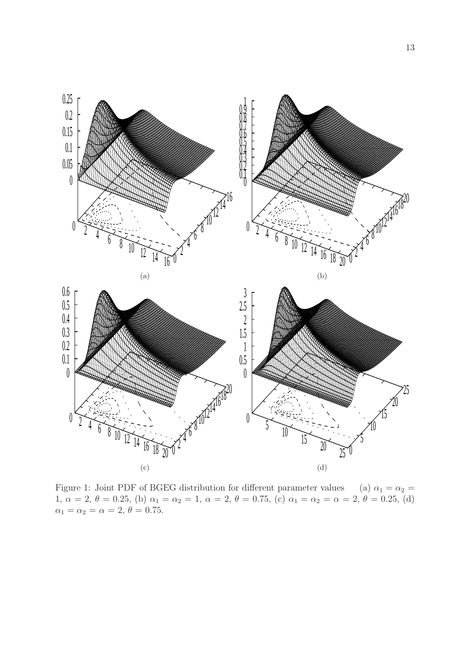

Figure 1: Joint PDF of BGEG distribution for different parameter values (a)  $\alpha_1 = \alpha_2$  = 1,  $\alpha = 2, \theta = 0.25$ , (b)  $\alpha_1 = \alpha_2 = 1, \alpha = 2, \theta = 0.75$ , (c)  $\alpha_1 = \alpha_2 = \alpha = 2, \theta = 0.25$ , (d)  $\alpha_1 = \alpha_2 = \alpha = 2, \theta = 0.75.$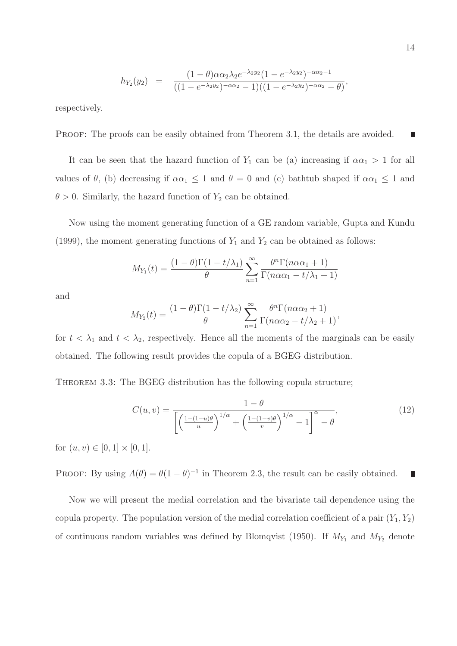$$
h_{Y_2}(y_2) = \frac{(1-\theta)\alpha\alpha_2\lambda_2 e^{-\lambda_2 y_2}(1-e^{-\lambda_2 y_2})^{-\alpha\alpha_2-1}}{((1-e^{-\lambda_2 y_2})^{-\alpha\alpha_2}-1)((1-e^{-\lambda_2 y_2})^{-\alpha\alpha_2}-\theta)},
$$

respectively.

PROOF: The proofs can be easily obtained from Theorem 3.1, the details are avoided. П

It can be seen that the hazard function of  $Y_1$  can be (a) increasing if  $\alpha \alpha_1 > 1$  for all values of  $\theta$ , (b) decreasing if  $\alpha \alpha_1 \leq 1$  and  $\theta = 0$  and (c) bathtub shaped if  $\alpha \alpha_1 \leq 1$  and  $\theta > 0$ . Similarly, the hazard function of  $Y_2$  can be obtained.

Now using the moment generating function of a GE random variable, Gupta and Kundu (1999), the moment generating functions of  $Y_1$  and  $Y_2$  can be obtained as follows:

$$
M_{Y_1}(t) = \frac{(1-\theta)\Gamma(1-t/\lambda_1)}{\theta} \sum_{n=1}^{\infty} \frac{\theta^n \Gamma(n\alpha \alpha_1 + 1)}{\Gamma(n\alpha \alpha_1 - t/\lambda_1 + 1)}
$$

and

$$
M_{Y_2}(t) = \frac{(1-\theta)\Gamma(1-t/\lambda_2)}{\theta} \sum_{n=1}^{\infty} \frac{\theta^n \Gamma(n\alpha\alpha_2 + 1)}{\Gamma(n\alpha\alpha_2 - t/\lambda_2 + 1)},
$$

for  $t < \lambda_1$  and  $t < \lambda_2$ , respectively. Hence all the moments of the marginals can be easily obtained. The following result provides the copula of a BGEG distribution.

THEOREM 3.3: The BGEG distribution has the following copula structure;

$$
C(u,v) = \frac{1-\theta}{\left[\left(\frac{1-(1-u)\theta}{u}\right)^{1/\alpha} + \left(\frac{1-(1-v)\theta}{v}\right)^{1/\alpha} - 1\right]^{\alpha} - \theta},\tag{12}
$$

for  $(u, v) \in [0, 1] \times [0, 1]$ .

PROOF: By using  $A(\theta) = \theta(1-\theta)^{-1}$  in Theorem 2.3, the result can be easily obtained.  $\overline{\phantom{a}}$ 

Now we will present the medial correlation and the bivariate tail dependence using the copula property. The population version of the medial correlation coefficient of a pair  $(Y_1, Y_2)$ of continuous random variables was defined by Blomqvist (1950). If  $M_{Y_1}$  and  $M_{Y_2}$  denote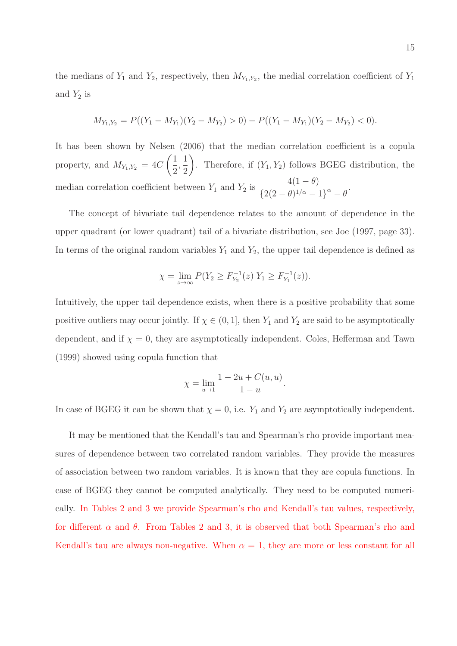the medians of  $Y_1$  and  $Y_2$ , respectively, then  $M_{Y_1,Y_2}$ , the medial correlation coefficient of  $Y_1$ and  $Y_2$  is

$$
M_{Y_1,Y_2} = P((Y_1 - M_{Y_1})(Y_2 - M_{Y_2}) > 0) - P((Y_1 - M_{Y_1})(Y_2 - M_{Y_2}) < 0).
$$

It has been shown by Nelsen (2006) that the median correlation coefficient is a copula property, and  $M_{Y_1,Y_2} = 4C$  $(1)$ 2 , 1 2  $\setminus$ . Therefore, if  $(Y_1, Y_2)$  follows BGEG distribution, the median correlation coefficient between  $Y_1$  and  $Y_2$  is  $4(1 - \theta)$  $\frac{1}{2(2-\theta)^{1/\alpha}-1}^{\alpha}$ .

The concept of bivariate tail dependence relates to the amount of dependence in the upper quadrant (or lower quadrant) tail of a bivariate distribution, see Joe (1997, page 33). In terms of the original random variables  $Y_1$  and  $Y_2$ , the upper tail dependence is defined as

$$
\chi = \lim_{z \to \infty} P(Y_2 \ge F_{Y_2}^{-1}(z)|Y_1 \ge F_{Y_1}^{-1}(z)).
$$

Intuitively, the upper tail dependence exists, when there is a positive probability that some positive outliers may occur jointly. If  $\chi \in (0,1]$ , then  $Y_1$  and  $Y_2$  are said to be asymptotically dependent, and if  $\chi = 0$ , they are asymptotically independent. Coles, Hefferman and Tawn (1999) showed using copula function that

$$
\chi = \lim_{u \to 1} \frac{1 - 2u + C(u, u)}{1 - u}.
$$

In case of BGEG it can be shown that  $\chi = 0$ , i.e.  $Y_1$  and  $Y_2$  are asymptotically independent.

It may be mentioned that the Kendall's tau and Spearman's rho provide important measures of dependence between two correlated random variables. They provide the measures of association between two random variables. It is known that they are copula functions. In case of BGEG they cannot be computed analytically. They need to be computed numerically. In Tables 2 and 3 we provide Spearman's rho and Kendall's tau values, respectively, for different  $\alpha$  and  $\theta$ . From Tables 2 and 3, it is observed that both Spearman's rho and Kendall's tau are always non-negative. When  $\alpha = 1$ , they are more or less constant for all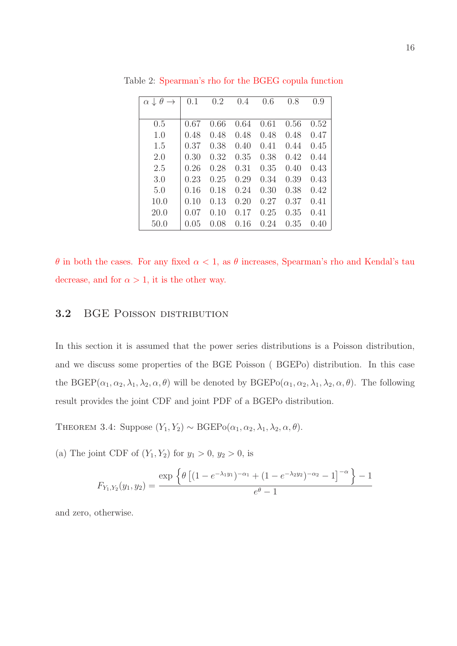| $\theta$<br>$\alpha \downarrow$ | 0.1  | 0.2  | 0.4  | 0.6  | 0.8  | 0.9  |
|---------------------------------|------|------|------|------|------|------|
|                                 |      |      |      |      |      |      |
| 0.5                             | 0.67 | 0.66 | 0.64 | 0.61 | 0.56 | 0.52 |
| 1.0                             | 0.48 | 0.48 | 0.48 | 0.48 | 0.48 | 0.47 |
| 1.5                             | 0.37 | 0.38 | 0.40 | 0.41 | 0.44 | 0.45 |
| 2.0                             | 0.30 | 0.32 | 0.35 | 0.38 | 0.42 | 0.44 |
| 2.5                             | 0.26 | 0.28 | 0.31 | 0.35 | 0.40 | 0.43 |
| 3.0                             | 0.23 | 0.25 | 0.29 | 0.34 | 0.39 | 0.43 |
| 5.0                             | 0.16 | 0.18 | 0.24 | 0.30 | 0.38 | 0.42 |
| 10.0                            | 0.10 | 0.13 | 0.20 | 0.27 | 0.37 | 0.41 |
| 20.0                            | 0.07 | 0.10 | 0.17 | 0.25 | 0.35 | 0.41 |
| 50.0                            | 0.05 | 0.08 | 0.16 | 0.24 | 0.35 | 0.40 |

Table 2: Spearman's rho for the BGEG copula function

θ in both the cases. For any fixed α < 1, as θ increases, Spearman's rho and Kendal's tau decrease, and for  $\alpha > 1$ , it is the other way.

### 3.2 BGE POISSON DISTRIBUTION

In this section it is assumed that the power series distributions is a Poisson distribution, and we discuss some properties of the BGE Poisson ( BGEPo) distribution. In this case the  $BGER(\alpha_1, \alpha_2, \lambda_1, \lambda_2, \alpha, \theta)$  will be denoted by  $BGEPo(\alpha_1, \alpha_2, \lambda_1, \lambda_2, \alpha, \theta)$ . The following result provides the joint CDF and joint PDF of a BGEPo distribution.

THEOREM 3.4: Suppose  $(Y_1, Y_2) \sim \text{BGEPo}(\alpha_1, \alpha_2, \lambda_1, \lambda_2, \alpha, \theta)$ .

(a) The joint CDF of  $(Y_1, Y_2)$  for  $y_1 > 0$ ,  $y_2 > 0$ , is

$$
F_{Y_1,Y_2}(y_1,y_2) = \frac{\exp \left\{ \theta \left[ (1 - e^{-\lambda_1 y_1})^{-\alpha_1} + (1 - e^{-\lambda_2 y_2})^{-\alpha_2} - 1 \right]^{-\alpha} \right\} - 1}{e^{\theta} - 1}
$$

and zero, otherwise.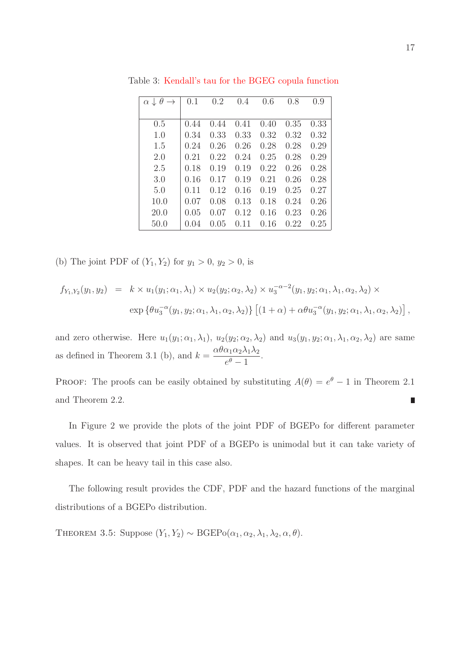| $\theta$<br>$\alpha \downarrow$ | 0.1  | 0.2  | 0.4  | 0.6  | 0.8  | 0.9  |
|---------------------------------|------|------|------|------|------|------|
|                                 |      |      |      |      |      |      |
| 0.5                             | 0.44 | 0.44 | 0.41 | 0.40 | 0.35 | 0.33 |
| 1.0                             | 0.34 | 0.33 | 0.33 | 0.32 | 0.32 | 0.32 |
| 1.5                             | 0.24 | 0.26 | 0.26 | 0.28 | 0.28 | 0.29 |
| 2.0                             | 0.21 | 0.22 | 0.24 | 0.25 | 0.28 | 0.29 |
| 2.5                             | 0.18 | 0.19 | 0.19 | 0.22 | 0.26 | 0.28 |
| 3.0                             | 0.16 | 0.17 | 0.19 | 0.21 | 0.26 | 0.28 |
| 5.0                             | 0.11 | 0.12 | 0.16 | 0.19 | 0.25 | 0.27 |
| 10.0                            | 0.07 | 0.08 | 0.13 | 0.18 | 0.24 | 0.26 |
| 20.0                            | 0.05 | 0.07 | 0.12 | 0.16 | 0.23 | 0.26 |
| 50.0                            | 0.04 | 0.05 | 0.11 | 0.16 | 0.22 | 0.25 |

Table 3: Kendall's tau for the BGEG copula function

(b) The joint PDF of  $(Y_1, Y_2)$  for  $y_1 > 0, y_2 > 0$ , is

$$
f_{Y_1,Y_2}(y_1, y_2) = k \times u_1(y_1; \alpha_1, \lambda_1) \times u_2(y_2; \alpha_2, \lambda_2) \times u_3^{-\alpha - 2}(y_1, y_2; \alpha_1, \lambda_1, \alpha_2, \lambda_2) \times
$$
  
\n
$$
\exp \{ \theta u_3^{-\alpha}(y_1, y_2; \alpha_1, \lambda_1, \alpha_2, \lambda_2) \} \left[ (1 + \alpha) + \alpha \theta u_3^{-\alpha}(y_1, y_2; \alpha_1, \lambda_1, \alpha_2, \lambda_2) \right],
$$

and zero otherwise. Here  $u_1(y_1; \alpha_1, \lambda_1)$ ,  $u_2(y_2; \alpha_2, \lambda_2)$  and  $u_3(y_1, y_2; \alpha_1, \lambda_1, \alpha_2, \lambda_2)$  are same as defined in Theorem 3.1 (b), and  $k = \frac{\alpha \theta \alpha_1 \alpha_2 \lambda_1 \lambda_2}{a}$  $\frac{e^{\theta}-1}{e^{\theta}-1}.$ 

PROOF: The proofs can be easily obtained by substituting  $A(\theta) = e^{\theta} - 1$  in Theorem 2.1 and Theorem 2.2. Π

In Figure 2 we provide the plots of the joint PDF of BGEPo for different parameter values. It is observed that joint PDF of a BGEPo is unimodal but it can take variety of shapes. It can be heavy tail in this case also.

The following result provides the CDF, PDF and the hazard functions of the marginal distributions of a BGEPo distribution.

THEOREM 3.5: Suppose  $(Y_1, Y_2) \sim \text{BGEPo}(\alpha_1, \alpha_2, \lambda_1, \lambda_2, \alpha, \theta)$ .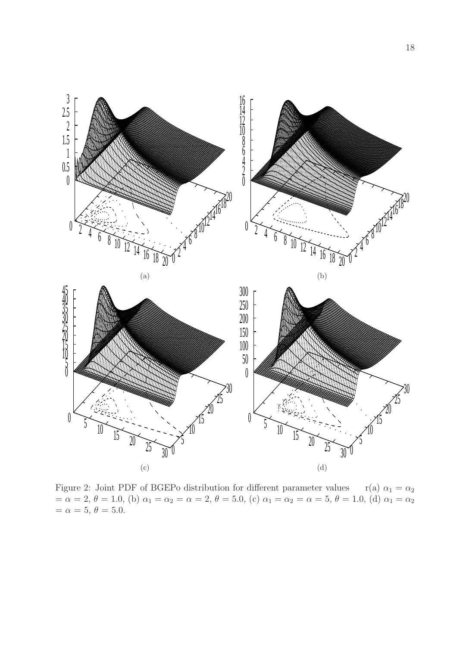

Figure 2: Joint PDF of BGEPo distribution for different parameter values r(a)  $\alpha_1 = \alpha_2$  $= \alpha = 2, \theta = 1.0,$  (b)  $\alpha_1 = \alpha_2 = \alpha = 2, \theta = 5.0,$  (c)  $\alpha_1 = \alpha_2 = \alpha = 5, \theta = 1.0,$  (d)  $\alpha_1 = \alpha_2$  $=\alpha = 5, \theta = 5.0.$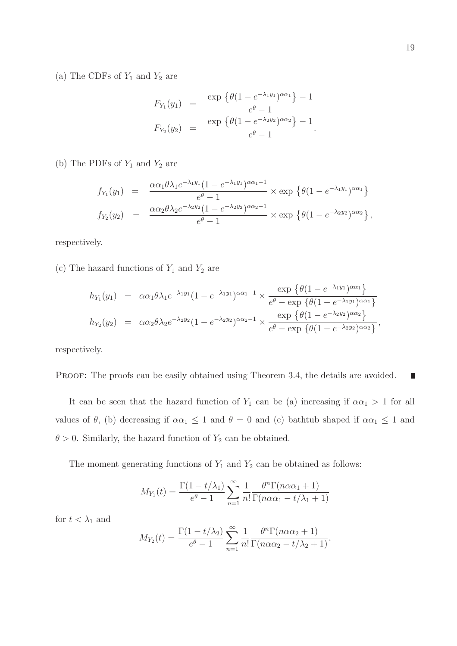(a) The CDFs of  $Y_1$  and  $Y_2$  are

$$
F_{Y_1}(y_1) = \frac{\exp \{ \theta (1 - e^{-\lambda_1 y_1})^{\alpha \alpha_1} \} - 1}{e^{\theta} - 1}
$$
  
\n
$$
F_{Y_2}(y_2) = \frac{\exp \{ \theta (1 - e^{-\lambda_2 y_2})^{\alpha \alpha_2} \} - 1}{e^{\theta} - 1}.
$$

(b) The PDFs of  $Y_1$  and  $Y_2$  are

$$
f_{Y_1}(y_1) = \frac{\alpha \alpha_1 \theta \lambda_1 e^{-\lambda_1 y_1} (1 - e^{-\lambda_1 y_1})^{\alpha \alpha_1 - 1}}{e^{\theta} - 1} \times \exp \left\{ \theta (1 - e^{-\lambda_1 y_1})^{\alpha \alpha_1} \right\}
$$
  

$$
f_{Y_2}(y_2) = \frac{\alpha \alpha_2 \theta \lambda_2 e^{-\lambda_2 y_2} (1 - e^{-\lambda_2 y_2})^{\alpha \alpha_2 - 1}}{e^{\theta} - 1} \times \exp \left\{ \theta (1 - e^{-\lambda_2 y_2})^{\alpha \alpha_2} \right\},
$$

respectively.

(c) The hazard functions of  $Y_1$  and  $Y_2$  are

$$
h_{Y_1}(y_1) = \alpha \alpha_1 \theta \lambda_1 e^{-\lambda_1 y_1} (1 - e^{-\lambda_1 y_1})^{\alpha \alpha_1 - 1} \times \frac{\exp \left\{ \theta (1 - e^{-\lambda_1 y_1})^{\alpha \alpha_1} \right\}}{e^{\theta} - \exp \left\{ \theta (1 - e^{-\lambda_1 y_1})^{\alpha \alpha_1} \right\}}
$$
  
\n
$$
h_{Y_2}(y_2) = \alpha \alpha_2 \theta \lambda_2 e^{-\lambda_2 y_2} (1 - e^{-\lambda_2 y_2})^{\alpha \alpha_2 - 1} \times \frac{\exp \left\{ \theta (1 - e^{-\lambda_2 y_2})^{\alpha \alpha_2} \right\}}{e^{\theta} - \exp \left\{ \theta (1 - e^{-\lambda_2 y_2})^{\alpha \alpha_2} \right\}},
$$

respectively.

PROOF: The proofs can be easily obtained using Theorem 3.4, the details are avoided.  $\mathcal{L}_{\mathcal{A}}$ 

It can be seen that the hazard function of  $Y_1$  can be (a) increasing if  $\alpha \alpha_1 > 1$  for all values of  $\theta$ , (b) decreasing if  $\alpha \alpha_1 \leq 1$  and  $\theta = 0$  and (c) bathtub shaped if  $\alpha \alpha_1 \leq 1$  and  $\theta > 0$ . Similarly, the hazard function of  $Y_2$  can be obtained.

The moment generating functions of  $Y_1$  and  $Y_2$  can be obtained as follows:

$$
M_{Y_1}(t) = \frac{\Gamma(1 - t/\lambda_1)}{e^{\theta} - 1} \sum_{n=1}^{\infty} \frac{1}{n!} \frac{\theta^n \Gamma(n\alpha \alpha_1 + 1)}{\Gamma(n\alpha \alpha_1 - t/\lambda_1 + 1)}
$$

for  $t < \lambda_1$  and

$$
M_{Y_2}(t) = \frac{\Gamma(1 - t/\lambda_2)}{e^{\theta} - 1} \sum_{n=1}^{\infty} \frac{1}{n!} \frac{\theta^n \Gamma(n \alpha \alpha_2 + 1)}{\Gamma(n \alpha \alpha_2 - t/\lambda_2 + 1)},
$$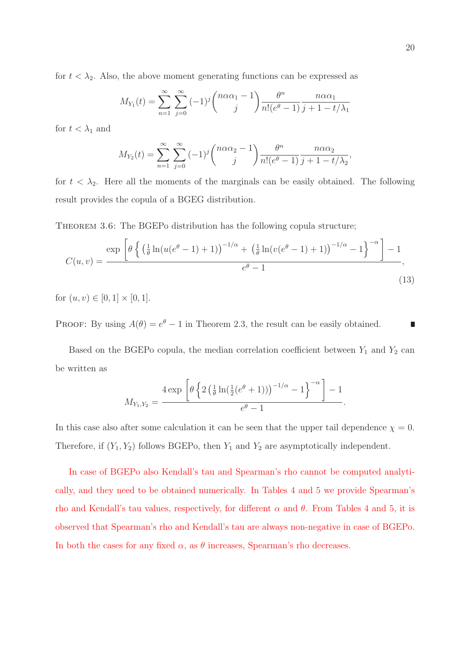for  $t < \lambda_2$ . Also, the above moment generating functions can be expressed as

$$
M_{Y_1}(t) = \sum_{n=1}^{\infty} \sum_{j=0}^{\infty} (-1)^j {n \alpha \alpha_1 - 1 \choose j} \frac{\theta^n}{n!(e^{\theta} - 1)} \frac{n \alpha \alpha_1}{j + 1 - t/\lambda_1}
$$

for  $t < \lambda_1$  and

$$
M_{Y_2}(t) = \sum_{n=1}^{\infty} \sum_{j=0}^{\infty} (-1)^j {n \alpha \alpha_2 - 1 \choose j} \frac{\theta^n}{n!(e^{\theta} - 1)} \frac{n \alpha \alpha_2}{j + 1 - t/\lambda_2}
$$

for  $t < \lambda_2$ . Here all the moments of the marginals can be easily obtained. The following result provides the copula of a BGEG distribution.

THEOREM 3.6: The BGEPo distribution has the following copula structure;

$$
C(u,v) = \frac{\exp\left[\theta \left\{ \left(\frac{1}{\theta}\ln(u(e^{\theta}-1)+1)\right)^{-1/\alpha} + \left(\frac{1}{\theta}\ln(v(e^{\theta}-1)+1)\right)^{-1/\alpha} - 1\right\}^{-\alpha}\right] - 1}{e^{\theta} - 1},\tag{13}
$$

for  $(u, v) \in [0, 1] \times [0, 1]$ .

PROOF: By using  $A(\theta) = e^{\theta} - 1$  in Theorem 2.3, the result can be easily obtained. П

Based on the BGEPo copula, the median correlation coefficient between  $Y_1$  and  $Y_2$  can be written as

$$
M_{Y_1,Y_2} = \frac{4 \exp \left[\theta \left\{2 \left(\frac{1}{\theta} \ln \left(\frac{1}{2} (e^{\theta} + 1)\right)\right)^{-1/\alpha} - 1\right\}^{-\alpha}\right] - 1}{e^{\theta} - 1}.
$$

In this case also after some calculation it can be seen that the upper tail dependence  $\chi = 0$ . Therefore, if  $(Y_1, Y_2)$  follows BGEPo, then  $Y_1$  and  $Y_2$  are asymptotically independent.

In case of BGEPo also Kendall's tau and Spearman's rho cannot be computed analytically, and they need to be obtained numerically. In Tables 4 and 5 we provide Spearman's rho and Kendall's tau values, respectively, for different  $\alpha$  and  $\theta$ . From Tables 4 and 5, it is observed that Spearman's rho and Kendall's tau are always non-negative in case of BGEPo. In both the cases for any fixed  $\alpha$ , as  $\theta$  increases, Spearman's rho decreases.

,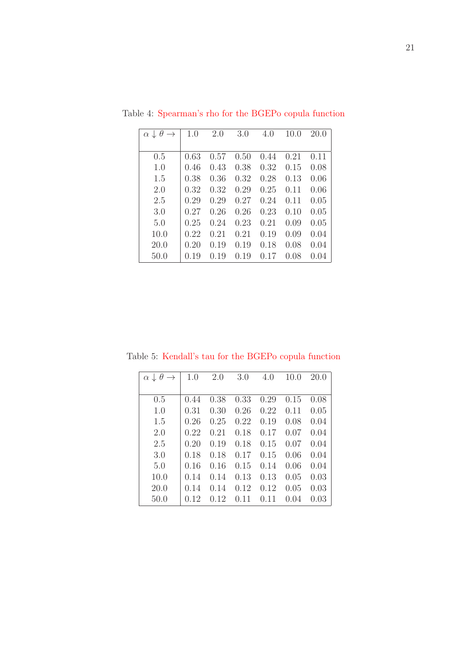| $\theta$<br>$\alpha \downarrow$ | 1.0  | 2.0  | 3.0  | 4.0  | 10.0 | 20.0 |
|---------------------------------|------|------|------|------|------|------|
|                                 |      |      |      |      |      |      |
| 0.5                             | 0.63 | 0.57 | 0.50 | 0.44 | 0.21 | 0.11 |
| 1.0                             | 0.46 | 0.43 | 0.38 | 0.32 | 0.15 | 0.08 |
| 1.5                             | 0.38 | 0.36 | 0.32 | 0.28 | 0.13 | 0.06 |
| 2.0                             | 0.32 | 0.32 | 0.29 | 0.25 | 0.11 | 0.06 |
| 2.5                             | 0.29 | 0.29 | 0.27 | 0.24 | 0.11 | 0.05 |
| 3.0                             | 0.27 | 0.26 | 0.26 | 0.23 | 0.10 | 0.05 |
| 5.0                             | 0.25 | 0.24 | 0.23 | 0.21 | 0.09 | 0.05 |
| 10.0                            | 0.22 | 0.21 | 0.21 | 0.19 | 0.09 | 0.04 |
| 20.0                            | 0.20 | 0.19 | 0.19 | 0.18 | 0.08 | 0.04 |
| 50.0                            | 0.19 | 0.19 | 0.19 | 0.17 | 0.08 | 0.04 |

Table 4: Spearman's rho for the BGEPo copula function

| $\theta$<br>$\alpha \downarrow$ | 1.0  | 2.0  | 3.0  | 4.0  | 10.0 | 20.0 |
|---------------------------------|------|------|------|------|------|------|
|                                 |      |      |      |      |      |      |
| 0.5                             | 0.44 | 0.38 | 0.33 | 0.29 | 0.15 | 0.08 |
| 1.0                             | 0.31 | 0.30 | 0.26 | 0.22 | 0.11 | 0.05 |
| 1.5                             | 0.26 | 0.25 | 0.22 | 0.19 | 0.08 | 0.04 |
| 2.0                             | 0.22 | 0.21 | 0.18 | 0.17 | 0.07 | 0.04 |
| 2.5                             | 0.20 | 0.19 | 0.18 | 0.15 | 0.07 | 0.04 |
| 3.0                             | 0.18 | 0.18 | 0.17 | 0.15 | 0.06 | 0.04 |
| 5.0                             | 0.16 | 0.16 | 0.15 | 0.14 | 0.06 | 0.04 |
| 10.0                            | 0.14 | 0.14 | 0.13 | 0.13 | 0.05 | 0.03 |
| 20.0                            | 0.14 | 0.14 | 0.12 | 0.12 | 0.05 | 0.03 |
| 50.0                            | 0.12 | 0.12 | 0.11 | 0.11 | 0.04 | 0.03 |

Table 5: Kendall's tau for the BGEPo copula function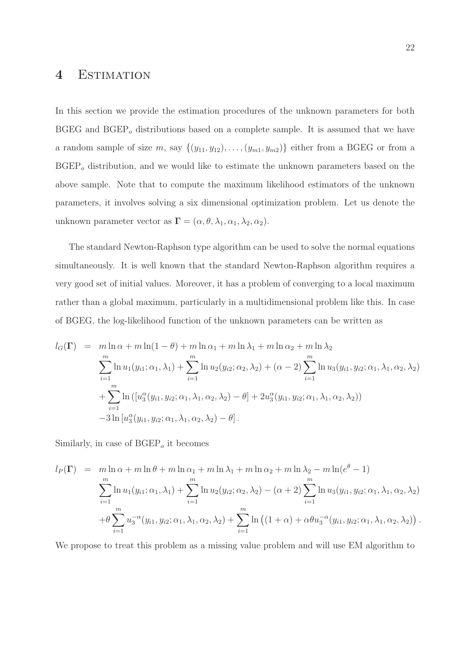### 4 Estimation

In this section we provide the estimation procedures of the unknown parameters for both BGEG and  $BGEP<sub>o</sub>$  distributions based on a complete sample. It is assumed that we have a random sample of size m, say  $\{(y_{11}, y_{12}), \ldots, (y_{m1}, y_{m2})\}$  either from a BGEG or from a  $BGEP_{o}$  distribution, and we would like to estimate the unknown parameters based on the above sample. Note that to compute the maximum likelihood estimators of the unknown parameters, it involves solving a six dimensional optimization problem. Let us denote the unknown parameter vector as  $\mathbf{\Gamma} = (\alpha, \theta, \lambda_1, \alpha_1, \lambda_2, \alpha_2).$ 

The standard Newton-Raphson type algorithm can be used to solve the normal equations simultaneously. It is well known that the standard Newton-Raphson algorithm requires a very good set of initial values. Moreover, it has a problem of converging to a local maximum rather than a global maximum, particularly in a multidimensional problem like this. In case of BGEG, the log-likelihood function of the unknown parameters can be written as

$$
l_G(\Gamma) = m \ln \alpha + m \ln(1 - \theta) + m \ln \alpha_1 + m \ln \lambda_1 + m \ln \alpha_2 + m \ln \lambda_2
$$
  

$$
\sum_{i=1}^m \ln u_1(y_{i1}; \alpha_1, \lambda_1) + \sum_{i=1}^m \ln u_2(y_{i2}; \alpha_2, \lambda_2) + (\alpha - 2) \sum_{i=1}^m \ln u_3(y_{i1}, y_{i2}; \alpha_1, \lambda_1, \alpha_2, \lambda_2)
$$
  

$$
+ \sum_{i=1}^m \ln \left( [u_3^{\alpha}(y_{i1}, y_{i2}; \alpha_1, \lambda_1, \alpha_2, \lambda_2) - \theta] + 2u_3^{\alpha}(y_{i1}, y_{i2}; \alpha_1, \lambda_1, \alpha_2, \lambda_2) \right)
$$
  

$$
-3 \ln [u_3^{\alpha}(y_{i1}, y_{i2}; \alpha_1, \lambda_1, \alpha_2, \lambda_2) - \theta].
$$

Similarly, in case of  $\text{BGEP}_o$  it becomes

$$
l_P(\Gamma) = m \ln \alpha + m \ln \theta + m \ln \alpha_1 + m \ln \lambda_1 + m \ln \alpha_2 + m \ln \lambda_2 - m \ln(e^{\theta} - 1)
$$
  

$$
\sum_{i=1}^m \ln u_1(y_{i1}; \alpha_1, \lambda_1) + \sum_{i=1}^m \ln u_2(y_{i2}; \alpha_2, \lambda_2) - (\alpha + 2) \sum_{i=1}^m \ln u_3(y_{i1}, y_{i2}; \alpha_1, \lambda_1, \alpha_2, \lambda_2)
$$
  

$$
+ \theta \sum_{i=1}^m u_3^{-\alpha}(y_{i1}, y_{i2}; \alpha_1, \lambda_1, \alpha_2, \lambda_2) + \sum_{i=1}^m \ln ((1 + \alpha) + \alpha \theta u_3^{-\alpha}(y_{i1}, y_{i2}; \alpha_1, \lambda_1, \alpha_2, \lambda_2)).
$$

We propose to treat this problem as a missing value problem and will use EM algorithm to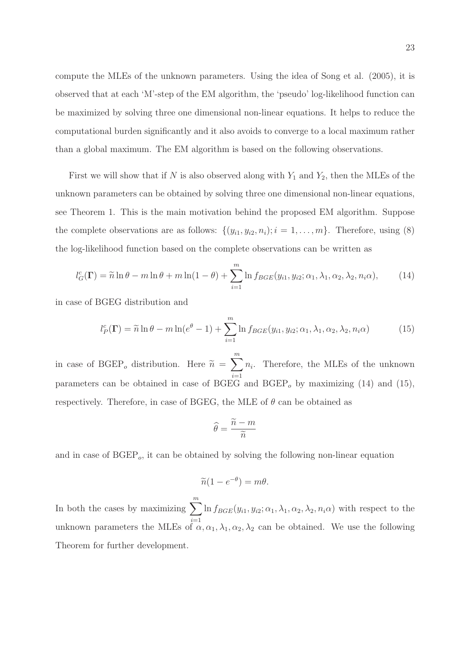compute the MLEs of the unknown parameters. Using the idea of Song et al. (2005), it is observed that at each 'M'-step of the EM algorithm, the 'pseudo' log-likelihood function can be maximized by solving three one dimensional non-linear equations. It helps to reduce the computational burden significantly and it also avoids to converge to a local maximum rather than a global maximum. The EM algorithm is based on the following observations.

First we will show that if N is also observed along with  $Y_1$  and  $Y_2$ , then the MLEs of the unknown parameters can be obtained by solving three one dimensional non-linear equations, see Theorem 1. This is the main motivation behind the proposed EM algorithm. Suppose the complete observations are as follows:  $\{(y_{i1}, y_{i2}, n_i); i = 1, \ldots, m\}$ . Therefore, using (8) the log-likelihood function based on the complete observations can be written as

$$
l_G^c(\Gamma) = \widetilde{n} \ln \theta - m \ln \theta + m \ln(1 - \theta) + \sum_{i=1}^m \ln f_{BGE}(y_{i1}, y_{i2}; \alpha_1, \lambda_1, \alpha_2, \lambda_2, n_i \alpha), \tag{14}
$$

in case of BGEG distribution and

$$
l_P^c(\Gamma) = \widetilde{n} \ln \theta - m \ln(e^{\theta} - 1) + \sum_{i=1}^m \ln f_{BGE}(y_{i1}, y_{i2}; \alpha_1, \lambda_1, \alpha_2, \lambda_2, n_i \alpha) \tag{15}
$$

in case of  $\text{BGEP}_{o}$  distribution. Here  $\widetilde{n} =$  $\sum_{i=1}^{m}$  $i=1$  $n_i$ . Therefore, the MLEs of the unknown parameters can be obtained in case of BGEG and  $BGEP_{o}$  by maximizing (14) and (15), respectively. Therefore, in case of BGEG, the MLE of  $\theta$  can be obtained as

$$
\widehat{\theta} = \frac{\widetilde{n} - m}{\widetilde{n}}
$$

and in case of  $B\text{GEP}_o$ , it can be obtained by solving the following non-linear equation

$$
\widetilde{n}(1 - e^{-\theta}) = m\theta.
$$

In both the cases by maximizing  $\sum_{m=1}^{m}$  $\frac{i=1}{i}$  $\ln f_{BGE}(y_{i1}, y_{i2}; \alpha_1, \lambda_1, \alpha_2, \lambda_2, n_i \alpha)$  with respect to the unknown parameters the MLEs of  $\alpha, \alpha_1, \lambda_1, \alpha_2, \lambda_2$  can be obtained. We use the following Theorem for further development.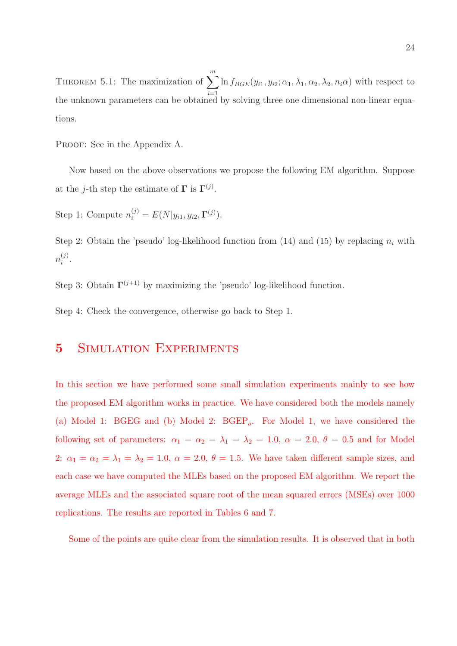THEOREM 5.1: The maximization of  $\sum_{n=1}^{m}$  $i=1$  $\ln f_{BGE}(y_{i1}, y_{i2}; \alpha_1, \lambda_1, \alpha_2, \lambda_2, n_i\alpha)$  with respect to the unknown parameters can be obtained by solving three one dimensional non-linear equations.

PROOF: See in the Appendix A.

Now based on the above observations we propose the following EM algorithm. Suppose at the *j*-th step the estimate of  $\Gamma$  is  $\Gamma^{(j)}$ .

Step 1: Compute  $n_i^{(j)} = E(N|y_{i1}, y_{i2}, \Gamma^{(j)})$ .

Step 2: Obtain the 'pseudo' log-likelihood function from  $(14)$  and  $(15)$  by replacing  $n_i$  with  $n_i^{(j)}$  $\binom{j}{i}$ .

Step 3: Obtain  $\Gamma^{(j+1)}$  by maximizing the 'pseudo' log-likelihood function.

Step 4: Check the convergence, otherwise go back to Step 1.

## **5** SIMULATION EXPERIMENTS

In this section we have performed some small simulation experiments mainly to see how the proposed EM algorithm works in practice. We have considered both the models namely (a) Model 1: BGEG and (b) Model 2: BGEP<sub>o</sub>. For Model 1, we have considered the following set of parameters:  $\alpha_1 = \alpha_2 = \lambda_1 = \lambda_2 = 1.0, \ \alpha = 2.0, \ \theta = 0.5$  and for Model 2:  $\alpha_1 = \alpha_2 = \lambda_1 = \lambda_2 = 1.0, \ \alpha = 2.0, \ \theta = 1.5$ . We have taken different sample sizes, and each case we have computed the MLEs based on the proposed EM algorithm. We report the average MLEs and the associated square root of the mean squared errors (MSEs) over 1000 replications. The results are reported in Tables 6 and 7.

Some of the points are quite clear from the simulation results. It is observed that in both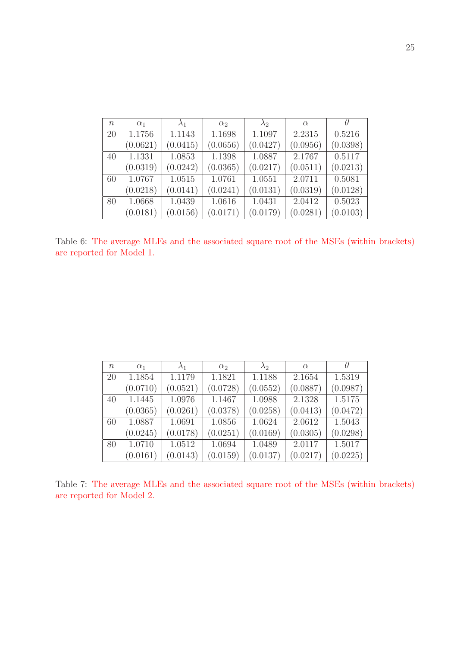| $\boldsymbol{n}$ | $\alpha_1$ | $\lambda_1$ | $\alpha_2$ | $\lambda_2$ | $\alpha$ |          |
|------------------|------------|-------------|------------|-------------|----------|----------|
| 20               | 1.1756     | 1.1143      | 1.1698     | 1.1097      | 2.2315   | 0.5216   |
|                  | (0.0621)   | (0.0415)    | (0.0656)   | (0.0427)    | (0.0956) | (0.0398) |
| 40               | 1.1331     | 1.0853      | 1.1398     | 1.0887      | 2.1767   | 0.5117   |
|                  | (0.0319)   | (0.0242)    | (0.0365)   | (0.0217)    | (0.0511) | (0.0213) |
| 60               | 1.0767     | 1.0515      | 1.0761     | 1.0551      | 2.0711   | 0.5081   |
|                  | (0.0218)   | (0.0141)    | (0.0241)   | (0.0131)    | (0.0319) | (0.0128) |
| 80               | 1.0668     | 1.0439      | 1.0616     | 1.0431      | 2.0412   | 0.5023   |
|                  | (0.0181)   | (0.0156)    | (0.0171)   | (0.0179)    | (0.0281) | (0.0103) |

Table 6: The average MLEs and the associated square root of the MSEs (within brackets) are reported for Model 1.

| $\eta$ | $\alpha_1$ | $\lambda_1$ | $\alpha_2$ | $\lambda_2$ | $\alpha$ |          |
|--------|------------|-------------|------------|-------------|----------|----------|
| 20     | 1.1854     | 1.1179      | 1.1821     | 1.1188      | 2.1654   | 1.5319   |
|        | (0.0710)   | (0.0521)    | (0.0728)   | (0.0552)    | (0.0887) | (0.0987) |
| 40     | 1.1445     | 1.0976      | 1.1467     | 1.0988      | 2.1328   | 1.5175   |
|        | (0.0365)   | (0.0261)    | (0.0378)   | (0.0258)    | (0.0413) | (0.0472) |
| 60     | 1.0887     | 1.0691      | 1.0856     | 1.0624      | 2.0612   | 1.5043   |
|        | (0.0245)   | (0.0178)    | (0.0251)   | (0.0169)    | (0.0305) | (0.0298) |
| 80     | 1.0710     | 1.0512      | 1.0694     | 1.0489      | 2.0117   | 1.5017   |
|        | (0.0161)   | (0.0143)    | (0.0159)   | (0.0137)    | (0.0217) | (0.0225) |

Table 7: The average MLEs and the associated square root of the MSEs (within brackets) are reported for Model 2.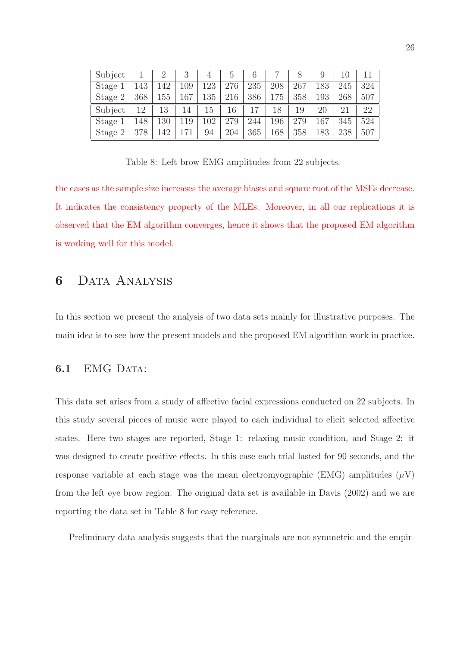| Subject |     |     | 3   | 4   | $\mathcal{L}$ | 6   |     |     | 9   | 10  |     |
|---------|-----|-----|-----|-----|---------------|-----|-----|-----|-----|-----|-----|
| Stage   | 143 | 42  | 109 | 123 | 276           | 235 | 208 | 267 | 183 | 245 | 324 |
| Stage 2 | 368 | 155 | 167 | 135 | 216           | 386 | 175 | 358 | 193 | 268 | 507 |
| Subject | 12  | 13  | 14  | Ţр  | 16            |     | 18  | 19  | 20  | 21  | 22  |
| Stage   | 148 | 130 | 119 | 102 | 279           | 244 | 196 | 279 | 167 | 345 | 524 |
| Stage 2 | 378 | 142 |     | 94  | 204           | 365 | 168 | 358 | 183 | 238 | 507 |

Table 8: Left brow EMG amplitudes from 22 subjects.

the cases as the sample size increases the average biases and square root of the MSEs decrease. It indicates the consistency property of the MLEs. Moreover, in all our replications it is observed that the EM algorithm converges, hence it shows that the proposed EM algorithm is working well for this model.

## 6 Data Analysis

In this section we present the analysis of two data sets mainly for illustrative purposes. The main idea is to see how the present models and the proposed EM algorithm work in practice.

### 6.1 EMG DATA:

This data set arises from a study of affective facial expressions conducted on 22 subjects. In this study several pieces of music were played to each individual to elicit selected affective states. Here two stages are reported, Stage 1: relaxing music condition, and Stage 2: it was designed to create positive effects. In this case each trial lasted for 90 seconds, and the response variable at each stage was the mean electromyographic (EMG) amplitudes  $(\mu V)$ from the left eye brow region. The original data set is available in Davis (2002) and we are reporting the data set in Table 8 for easy reference.

Preliminary data analysis suggests that the marginals are not symmetric and the empir-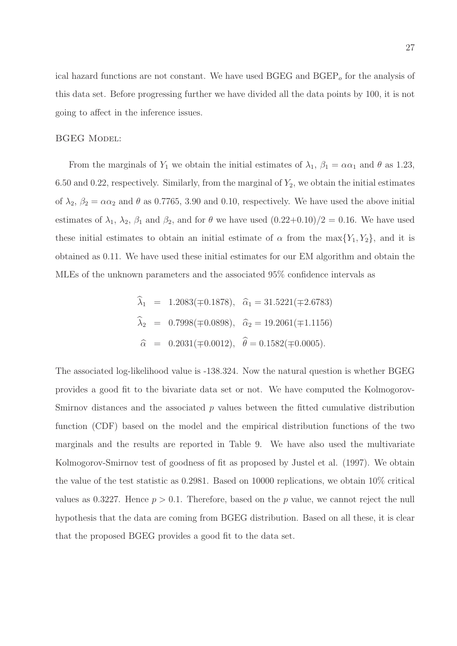ical hazard functions are not constant. We have used  $BGEG$  and  $BGEP<sub>o</sub>$  for the analysis of this data set. Before progressing further we have divided all the data points by 100, it is not going to affect in the inference issues.

#### **BGEG MODEL:**

From the marginals of  $Y_1$  we obtain the initial estimates of  $\lambda_1$ ,  $\beta_1 = \alpha \alpha_1$  and  $\theta$  as 1.23, 6.50 and 0.22, respectively. Similarly, from the marginal of  $Y_2$ , we obtain the initial estimates of  $\lambda_2$ ,  $\beta_2 = \alpha \alpha_2$  and  $\theta$  as 0.7765, 3.90 and 0.10, respectively. We have used the above initial estimates of  $\lambda_1$ ,  $\lambda_2$ ,  $\beta_1$  and  $\beta_2$ , and for  $\theta$  we have used  $(0.22+0.10)/2 = 0.16$ . We have used these initial estimates to obtain an initial estimate of  $\alpha$  from the max $\{Y_1, Y_2\}$ , and it is obtained as 0.11. We have used these initial estimates for our EM algorithm and obtain the MLEs of the unknown parameters and the associated 95% confidence intervals as

$$
\lambda_1 = 1.2083(\mp 0.1878), \quad \hat{\alpha}_1 = 31.5221(\mp 2.6783)
$$
  

$$
\hat{\lambda}_2 = 0.7998(\mp 0.0898), \quad \hat{\alpha}_2 = 19.2061(\mp 1.1156)
$$
  

$$
\hat{\alpha} = 0.2031(\mp 0.0012), \quad \hat{\theta} = 0.1582(\mp 0.0005).
$$

The associated log-likelihood value is -138.324. Now the natural question is whether BGEG provides a good fit to the bivariate data set or not. We have computed the Kolmogorov-Smirnov distances and the associated  $p$  values between the fitted cumulative distribution function (CDF) based on the model and the empirical distribution functions of the two marginals and the results are reported in Table 9. We have also used the multivariate Kolmogorov-Smirnov test of goodness of fit as proposed by Justel et al. (1997). We obtain the value of the test statistic as 0.2981. Based on 10000 replications, we obtain 10% critical values as 0.3227. Hence  $p > 0.1$ . Therefore, based on the p value, we cannot reject the null hypothesis that the data are coming from BGEG distribution. Based on all these, it is clear that the proposed BGEG provides a good fit to the data set.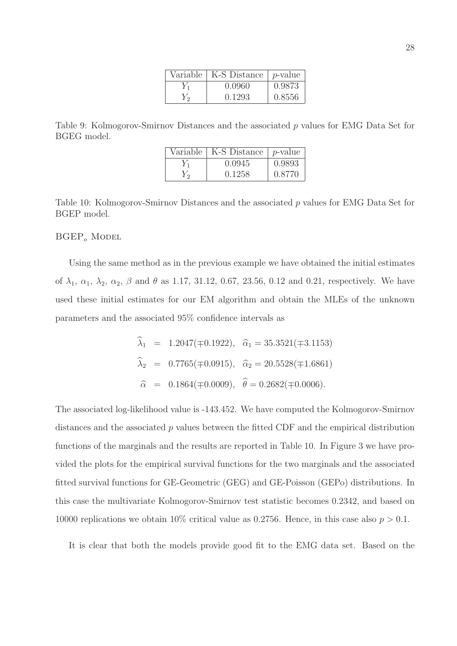| Variable   K-S Distance | $ p$ -value $ $ |
|-------------------------|-----------------|
| 0.0960                  | 0.9873          |
| 0.1293                  | 0.8556          |

Table 9: Kolmogorov-Smirnov Distances and the associated p values for EMG Data Set for BGEG model.

| Variable | K-S Distance | <i>p</i> -value |
|----------|--------------|-----------------|
|          | 0.0945       | 0.9893          |
|          | 0.1258       | 0.8770          |

Table 10: Kolmogorov-Smirnov Distances and the associated p values for EMG Data Set for BGEP model.

 $BGEP<sub>o</sub>$  Model

Using the same method as in the previous example we have obtained the initial estimates of  $\lambda_1, \alpha_1, \lambda_2, \alpha_2, \beta$  and  $\theta$  as 1.17, 31.12, 0.67, 23.56, 0.12 and 0.21, respectively. We have used these initial estimates for our EM algorithm and obtain the MLEs of the unknown parameters and the associated 95% confidence intervals as

$$
\begin{aligned}\n\widehat{\lambda}_1 &= 1.2047(\mp 0.1922), \quad \widehat{\alpha}_1 = 35.3521(\mp 3.1153) \\
\widehat{\lambda}_2 &= 0.7765(\mp 0.0915), \quad \widehat{\alpha}_2 = 20.5528(\mp 1.6861) \\
\widehat{\alpha} &= 0.1864(\mp 0.0009), \quad \widehat{\theta} = 0.2682(\mp 0.0006).\n\end{aligned}
$$

The associated log-likelihood value is -143.452. We have computed the Kolmogorov-Smirnov distances and the associated  $p$  values between the fitted CDF and the empirical distribution functions of the marginals and the results are reported in Table 10. In Figure 3 we have provided the plots for the empirical survival functions for the two marginals and the associated fitted survival functions for GE-Geometric (GEG) and GE-Poisson (GEPo) distributions. In this case the multivariate Kolmogorov-Smirnov test statistic becomes 0.2342, and based on 10000 replications we obtain 10% critical value as 0.2756. Hence, in this case also  $p > 0.1$ .

It is clear that both the models provide good fit to the EMG data set. Based on the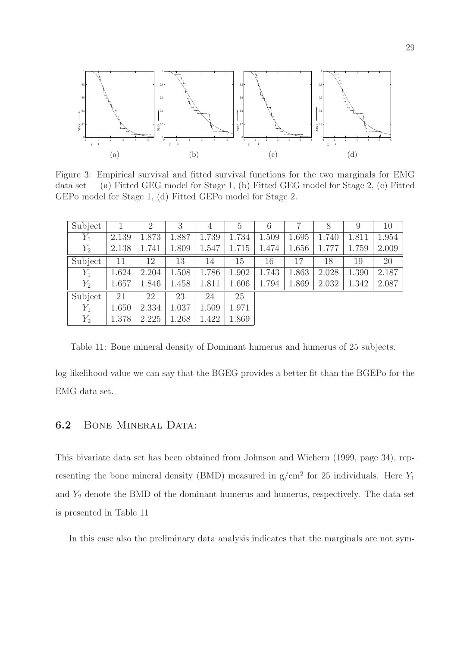

Figure 3: Empirical survival and fitted survival functions for the two marginals for EMG data set (a) Fitted GEG model for Stage 1, (b) Fitted GEG model for Stage 2, (c) Fitted GEPo model for Stage 1, (d) Fitted GEPo model for Stage 2.

| Subject |       | $\overline{2}$ | 3     | $\overline{4}$ | 5     |       |       | 8     | 9     | 10    |
|---------|-------|----------------|-------|----------------|-------|-------|-------|-------|-------|-------|
| $Y_1$   | 2.139 | 1.873          | 1.887 | 1.739          | 1.734 | 1.509 | 1.695 | 1.740 | 1.811 | 1.954 |
| $Y_2$   | 2.138 | 1.741          | 1.809 | 1.547          | 1.715 | 1.474 | 1.656 | 1.777 | 1.759 | 2.009 |
| Subject | 11    | 12             | 13    | 14             | 15    | 16    | 17    | 18    | 19    | 20    |
| $Y_1$   | 1.624 | 2.204          | 1.508 | 1.786          | 1.902 | 1.743 | 1.863 | 2.028 | 1.390 | 2.187 |
| $Y_2$   | 1.657 | 1.846          | 1.458 | 1.811          | 1.606 | 1.794 | 1.869 | 2.032 | 1.342 | 2.087 |
| Subject | 21    | 22             | 23    | 24             | 25    |       |       |       |       |       |
| $Y_1$   | 1.650 | 2.334          | 1.037 | 1.509          | 1.971 |       |       |       |       |       |
| $Y_2$   | 1.378 | 2.225          | 1.268 | 1.422          | 1.869 |       |       |       |       |       |

Table 11: Bone mineral density of Dominant humerus and humerus of 25 subjects.

log-likelihood value we can say that the BGEG provides a better fit than the BGEPo for the EMG data set.

### 6.2 BONE MINERAL DATA:

This bivariate data set has been obtained from Johnson and Wichern (1999, page 34), representing the bone mineral density (BMD) measured in  $g/cm^2$  for 25 individuals. Here  $Y_1$ and  $Y_2$  denote the BMD of the dominant humerus and humerus, respectively. The data set is presented in Table 11

In this case also the preliminary data analysis indicates that the marginals are not sym-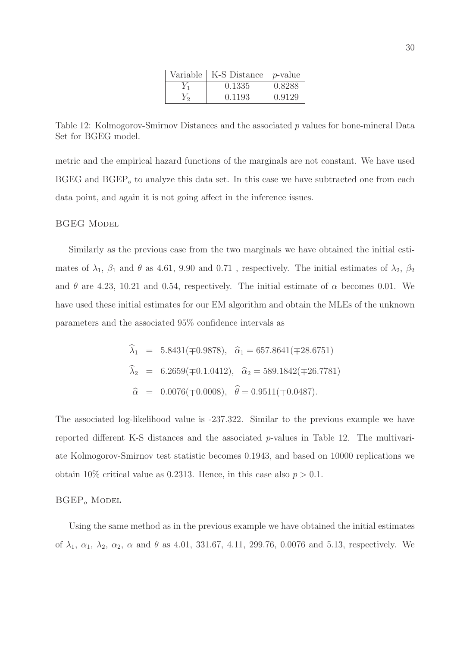| Variable   K-S Distance | $ p$ -value |
|-------------------------|-------------|
| 0.1335                  | 0.8288      |
| 0.1193                  | 0.9129      |

Table 12: Kolmogorov-Smirnov Distances and the associated p values for bone-mineral Data Set for BGEG model.

metric and the empirical hazard functions of the marginals are not constant. We have used  $BGEG$  and  $BGEP<sub>o</sub>$  to analyze this data set. In this case we have subtracted one from each data point, and again it is not going affect in the inference issues.

**BGEG MODEL** 

Similarly as the previous case from the two marginals we have obtained the initial estimates of  $\lambda_1$ ,  $\beta_1$  and  $\theta$  as 4.61, 9.90 and 0.71, respectively. The initial estimates of  $\lambda_2$ ,  $\beta_2$ and  $\theta$  are 4.23, 10.21 and 0.54, respectively. The initial estimate of  $\alpha$  becomes 0.01. We have used these initial estimates for our EM algorithm and obtain the MLEs of the unknown parameters and the associated 95% confidence intervals as

$$
\begin{aligned}\n\widehat{\lambda}_1 &= 5.8431(\mp 0.9878), \quad \widehat{\alpha}_1 = 657.8641(\mp 28.6751) \\
\widehat{\lambda}_2 &= 6.2659(\mp 0.1.0412), \quad \widehat{\alpha}_2 = 589.1842(\mp 26.7781) \\
\widehat{\alpha} &= 0.0076(\mp 0.0008), \quad \widehat{\theta} = 0.9511(\mp 0.0487).\n\end{aligned}
$$

The associated log-likelihood value is -237.322. Similar to the previous example we have reported different K-S distances and the associated p-values in Table 12. The multivariate Kolmogorov-Smirnov test statistic becomes 0.1943, and based on 10000 replications we obtain 10% critical value as 0.2313. Hence, in this case also  $p > 0.1$ .

#### $BGEP$ <sub>o</sub> Model

Using the same method as in the previous example we have obtained the initial estimates of  $\lambda_1, \alpha_1, \lambda_2, \alpha_2, \alpha$  and  $\theta$  as 4.01, 331.67, 4.11, 299.76, 0.0076 and 5.13, respectively. We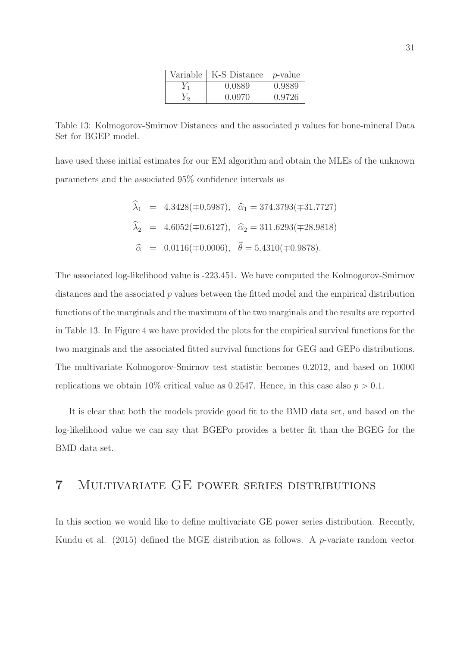| Variable | K-S Distance | $p$ -value |
|----------|--------------|------------|
|          | 0.0889       | 0.9889     |
|          | 0.0970       | 0.9726     |

Table 13: Kolmogorov-Smirnov Distances and the associated p values for bone-mineral Data Set for BGEP model.

have used these initial estimates for our EM algorithm and obtain the MLEs of the unknown parameters and the associated 95% confidence intervals as

$$
\hat{\lambda}_1
$$
 = 4.3428(≠0.5987),  $\hat{\alpha}_1$  = 374.3793(≠31.7727)  
\n $\hat{\lambda}_2$  = 4.6052(≠0.6127),  $\hat{\alpha}_2$  = 311.6293(≠28.9818)  
\n $\hat{\alpha}$  = 0.0116(≠0.0006),  $\hat{\theta}$  = 5.4310(≠0.9878).

The associated log-likelihood value is -223.451. We have computed the Kolmogorov-Smirnov distances and the associated p values between the fitted model and the empirical distribution functions of the marginals and the maximum of the two marginals and the results are reported in Table 13. In Figure 4 we have provided the plots for the empirical survival functions for the two marginals and the associated fitted survival functions for GEG and GEPo distributions. The multivariate Kolmogorov-Smirnov test statistic becomes 0.2012, and based on 10000 replications we obtain 10% critical value as 0.2547. Hence, in this case also  $p > 0.1$ .

It is clear that both the models provide good fit to the BMD data set, and based on the log-likelihood value we can say that BGEPo provides a better fit than the BGEG for the BMD data set.

### 7 Multivariate GE power series distributions

In this section we would like to define multivariate GE power series distribution. Recently, Kundu et al. (2015) defined the MGE distribution as follows. A  $p$ -variate random vector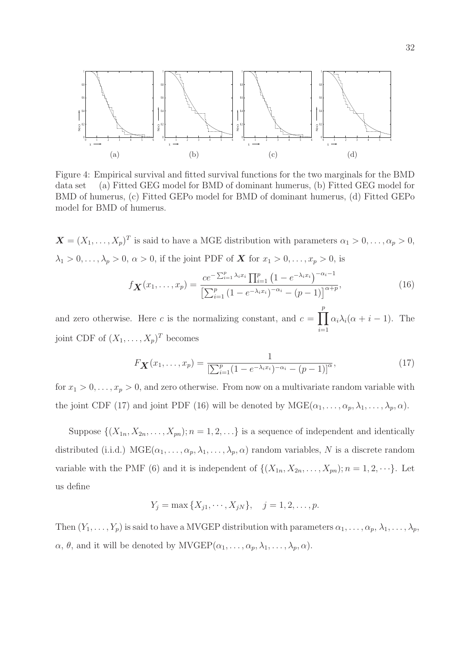

Figure 4: Empirical survival and fitted survival functions for the two marginals for the BMD data set (a) Fitted GEG model for BMD of dominant humerus, (b) Fitted GEG model for BMD of humerus, (c) Fitted GEPo model for BMD of dominant humerus, (d) Fitted GEPo model for BMD of humerus.

 $\mathbf{X} = (X_1, \ldots, X_p)^T$  is said to have a MGE distribution with parameters  $\alpha_1 > 0, \ldots, \alpha_p > 0$ ,  $\lambda_1 > 0, \ldots, \lambda_p > 0, \, \alpha > 0$ , if the joint PDF of **X** for  $x_1 > 0, \ldots, x_p > 0$ , is

$$
f_{\mathbf{X}}(x_1,\ldots,x_p) = \frac{ce^{-\sum_{i=1}^p \lambda_i x_i} \prod_{i=1}^p \left(1 - e^{-\lambda_i x_i}\right)^{-\alpha_i - 1}}{\left[\sum_{i=1}^p \left(1 - e^{-\lambda_i x_i}\right)^{-\alpha_i} - (p-1)\right]^{\alpha + p}},\tag{16}
$$

and zero otherwise. Here c is the normalizing constant, and  $c = \prod_{r=1}^{p}$  $i=1$  $\alpha_i \lambda_i(\alpha + i - 1)$ . The joint CDF of  $(X_1, \ldots, X_p)^T$  becomes

$$
F_{\mathbf{X}}(x_1,\ldots,x_p) = \frac{1}{\left[\sum_{i=1}^p (1 - e^{-\lambda_i x_i})^{-\alpha_i} - (p-1)\right]^{\alpha}},\tag{17}
$$

for  $x_1 > 0, \ldots, x_p > 0$ , and zero otherwise. From now on a multivariate random variable with the joint CDF (17) and joint PDF (16) will be denoted by  $MGE(\alpha_1, \ldots, \alpha_p, \lambda_1, \ldots, \lambda_p, \alpha)$ .

Suppose  $\{(X_{1n}, X_{2n},..., X_{pn}); n = 1, 2,...\}$  is a sequence of independent and identically distributed (i.i.d.)  $MGE(\alpha_1, \ldots, \alpha_p, \lambda_1, \ldots, \lambda_p, \alpha)$  random variables, N is a discrete random variable with the PMF (6) and it is independent of  $\{(X_{1n}, X_{2n}, \ldots, X_{pn}); n = 1, 2, \cdots\}$ . Let us define

$$
Y_j = \max\{X_{j1}, \cdots, X_{jN}\}, \quad j = 1, 2, \ldots, p.
$$

Then  $(Y_1, \ldots, Y_p)$  is said to have a MVGEP distribution with parameters  $\alpha_1, \ldots, \alpha_p, \lambda_1, \ldots, \lambda_p$ ,  $\alpha$ ,  $\theta$ , and it will be denoted by MVGEP( $\alpha_1, \ldots, \alpha_p, \lambda_1, \ldots, \lambda_p, \alpha$ ).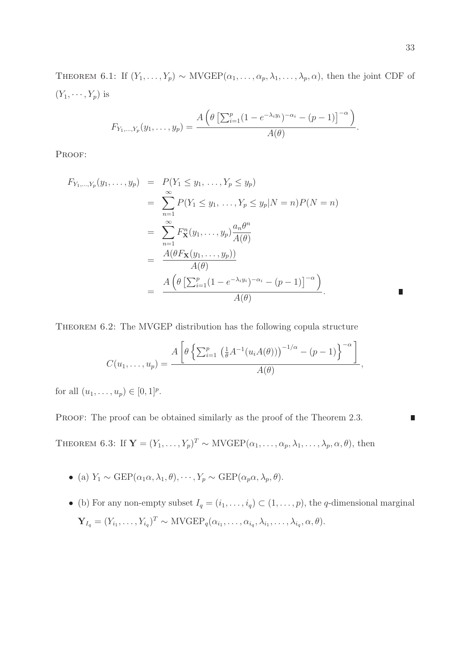THEOREM 6.1: If  $(Y_1, \ldots, Y_p) \sim \text{MVGEP}(\alpha_1, \ldots, \alpha_p, \lambda_1, \ldots, \lambda_p, \alpha)$ , then the joint CDF of  $(Y_1, \cdots, Y_p)$  is

$$
F_{Y_1,\ldots,Y_p}(y_1,\ldots,y_p)=\frac{A\left(\theta\left[\sum_{i=1}^p(1-e^{-\lambda_iy_i})^{-\alpha_i}-(p-1)\right]^{-\alpha}\right)}{A(\theta)}.
$$

PROOF:

$$
F_{Y_1,\dots,Y_p}(y_1,\dots,y_p) = P(Y_1 \le y_1,\dots,Y_p \le y_p)
$$
  
\n
$$
= \sum_{n=1}^{\infty} P(Y_1 \le y_1,\dots,Y_p \le y_p | N = n)P(N = n)
$$
  
\n
$$
= \sum_{n=1}^{\infty} F_{\mathbf{X}}^n(y_1,\dots,y_p) \frac{a_n \theta^n}{A(\theta)}
$$
  
\n
$$
= \frac{A(\theta F_{\mathbf{X}}(y_1,\dots,y_p))}{A(\theta)}
$$
  
\n
$$
= \frac{A(\theta [\sum_{i=1}^p (1 - e^{-\lambda_i y_i})^{-\alpha_i} - (p-1)]^{-\alpha})}{A(\theta)}.
$$

THEOREM 6.2: The MVGEP distribution has the following copula structure

$$
C(u_1,\ldots,u_p)=\frac{A\left[\theta\left\{\sum_{i=1}^p\left(\frac{1}{\theta}A^{-1}(u_iA(\theta))\right)^{-1/\alpha}-(p-1)\right\}^{-\alpha}\right]}{A(\theta)},
$$

for all  $(u_1, ..., u_p) \in [0, 1]^p$ .

PROOF: The proof can be obtained similarly as the proof of the Theorem 2.3.

THEOREM 6.3: If  $\mathbf{Y}=(Y_1,\ldots,Y_p)^T \sim \text{MVGEP}(\alpha_1,\ldots,\alpha_p,\lambda_1,\ldots,\lambda_p,\alpha,\theta)$ , then

- (a)  $Y_1 \sim \text{GEP}(\alpha_1 \alpha, \lambda_1, \theta), \cdots, Y_p \sim \text{GEP}(\alpha_p \alpha, \lambda_p, \theta).$
- (b) For any non-empty subset  $I_q = (i_1, \ldots, i_q) \subset (1, \ldots, p)$ , the q-dimensional marginal  $\mathbf{Y}_{I_q} = (Y_{i_1}, \ldots, Y_{i_q})^T \sim \text{MVGEP}_q(\alpha_{i_1}, \ldots, \alpha_{i_q}, \lambda_{i_1}, \ldots, \lambda_{i_q}, \alpha, \theta).$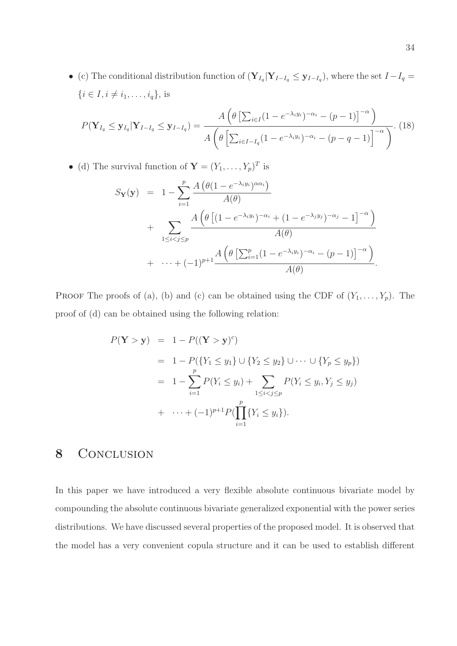• (c) The conditional distribution function of  $(\mathbf{Y}_{I_q} | \mathbf{Y}_{I-I_q} \leq \mathbf{y}_{I-I_q})$ , where the set  $I-I_q =$  $\{i \in I, i \neq i_1, \ldots, i_q\},\$  is

$$
P(\mathbf{Y}_{I_q} \leq \mathbf{y}_{I_q} | \mathbf{Y}_{I-I_q} \leq \mathbf{y}_{I-I_q}) = \frac{A\left(\theta \left[\sum_{i\in I} (1 - e^{-\lambda_i y_i})^{-\alpha_i} - (p-1)\right]^{-\alpha}\right)}{A\left(\theta \left[\sum_{i\in I-I_q} (1 - e^{-\lambda_i y_i})^{-\alpha_i} - (p-q-1)\right]^{-\alpha}\right)}.
$$
(18)

• (d) The survival function of  $\mathbf{Y} = (Y_1, \dots, Y_p)^T$  is

$$
S_{\mathbf{Y}}(\mathbf{y}) = 1 - \sum_{i=1}^{p} \frac{A(\theta(1 - e^{-\lambda_i y_i})^{\alpha_i})}{A(\theta)}
$$
  
+ 
$$
\sum_{1 \leq i < j \leq p} \frac{A(\theta\left[(1 - e^{-\lambda_i y_i})^{-\alpha_i} + (1 - e^{-\lambda_j y_j})^{-\alpha_j} - 1\right]^{-\alpha})}{A(\theta)}
$$
  
+ 
$$
\cdots + (-1)^{p+1} \frac{A(\theta\left[\sum_{i=1}^{p}(1 - e^{-\lambda_i y_i})^{-\alpha_i} - (p-1)\right]^{-\alpha})}{A(\theta)}.
$$

PROOF The proofs of (a), (b) and (c) can be obtained using the CDF of  $(Y_1, \ldots, Y_p)$ . The proof of (d) can be obtained using the following relation:

$$
P(\mathbf{Y} > \mathbf{y}) = 1 - P((\mathbf{Y} > \mathbf{y})^c)
$$
  
= 1 - P({Y<sub>1</sub> \le y<sub>1</sub>} \cup {Y<sub>2</sub> \le y<sub>2</sub>} \cup \cdots \cup {Y<sub>p</sub> \le y<sub>p</sub>})  
= 1 - \sum\_{i=1}^{p} P(Y\_i \le y\_i) + \sum\_{1 \le i < j \le p} P(Y\_i \le y\_i, Y\_j \le y\_j)  
+ \cdots + (-1)^{p+1} P(\prod\_{i=1}^{p} {Y\_i \le y\_i}).

## 8 CONCLUSION

In this paper we have introduced a very flexible absolute continuous bivariate model by compounding the absolute continuous bivariate generalized exponential with the power series distributions. We have discussed several properties of the proposed model. It is observed that the model has a very convenient copula structure and it can be used to establish different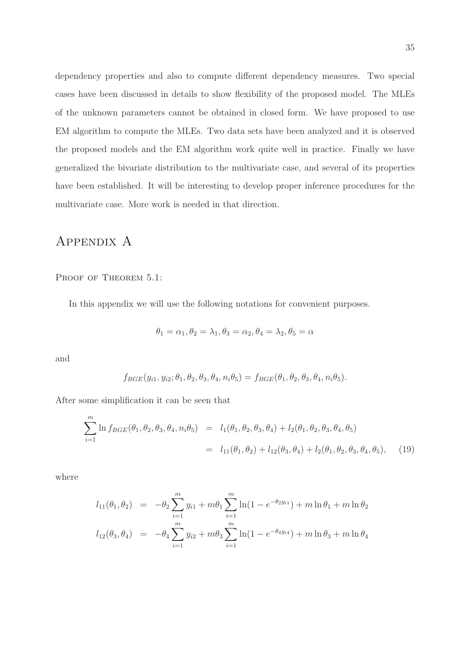dependency properties and also to compute different dependency measures. Two special cases have been discussed in details to show flexibility of the proposed model. The MLEs of the unknown parameters cannot be obtained in closed form. We have proposed to use EM algorithm to compute the MLEs. Two data sets have been analyzed and it is observed the proposed models and the EM algorithm work quite well in practice. Finally we have generalized the bivariate distribution to the multivariate case, and several of its properties have been established. It will be interesting to develop proper inference procedures for the multivariate case. More work is needed in that direction.

## Appendix A

PROOF OF THEOREM 5.1:

In this appendix we will use the following notations for convenient purposes.

$$
\theta_1 = \alpha_1, \theta_2 = \lambda_1, \theta_3 = \alpha_2, \theta_4 = \lambda_2, \theta_5 = \alpha
$$

and

$$
f_{BGE}(y_{i1}, y_{i2}; \theta_1, \theta_2, \theta_3, \theta_4, n_i\theta_5) = f_{BGE}(\theta_1, \theta_2, \theta_3, \theta_4, n_i\theta_5).
$$

After some simplification it can be seen that

$$
\sum_{i=1}^{m} \ln f_{BGE}(\theta_1, \theta_2, \theta_3, \theta_4, n_i \theta_5) = l_1(\theta_1, \theta_2, \theta_3, \theta_4) + l_2(\theta_1, \theta_2, \theta_3, \theta_4, \theta_5)
$$
  
=  $l_{11}(\theta_1, \theta_2) + l_{12}(\theta_3, \theta_4) + l_2(\theta_1, \theta_2, \theta_3, \theta_4, \theta_5),$  (19)

where

$$
l_{11}(\theta_1, \theta_2) = -\theta_2 \sum_{i=1}^m y_{i1} + m\theta_1 \sum_{i=1}^m \ln(1 - e^{-\theta_2 y_{i1}}) + m \ln \theta_1 + m \ln \theta_2
$$
  

$$
l_{12}(\theta_3, \theta_4) = -\theta_4 \sum_{i=1}^m y_{i2} + m\theta_3 \sum_{i=1}^m \ln(1 - e^{-\theta_4 y_{i4}}) + m \ln \theta_3 + m \ln \theta_4
$$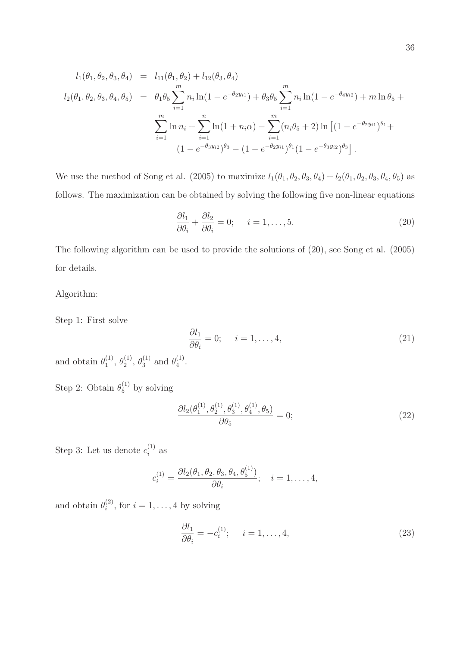$$
l_1(\theta_1, \theta_2, \theta_3, \theta_4) = l_{11}(\theta_1, \theta_2) + l_{12}(\theta_3, \theta_4)
$$
  
\n
$$
l_2(\theta_1, \theta_2, \theta_3, \theta_4, \theta_5) = \theta_1 \theta_5 \sum_{i=1}^m n_i \ln(1 - e^{-\theta_2 y_{i1}}) + \theta_3 \theta_5 \sum_{i=1}^m n_i \ln(1 - e^{-\theta_4 y_{i2}}) + m \ln \theta_5 +
$$
  
\n
$$
\sum_{i=1}^m \ln n_i + \sum_{i=1}^n \ln(1 + n_i \alpha) - \sum_{i=1}^m (n_i \theta_5 + 2) \ln \left[ (1 - e^{-\theta_2 y_{i1}})^{\theta_1} +
$$
  
\n
$$
(1 - e^{-\theta_3 y_{i2}})^{\theta_3} - (1 - e^{-\theta_2 y_{i1}})^{\theta_1} (1 - e^{-\theta_3 y_{i2}})^{\theta_3} \right].
$$

We use the method of Song et al. (2005) to maximize  $l_1(\theta_1, \theta_2, \theta_3, \theta_4) + l_2(\theta_1, \theta_2, \theta_3, \theta_4, \theta_5)$  as follows. The maximization can be obtained by solving the following five non-linear equations

$$
\frac{\partial l_1}{\partial \theta_i} + \frac{\partial l_2}{\partial \theta_i} = 0; \quad i = 1, \dots, 5.
$$
 (20)

The following algorithm can be used to provide the solutions of (20), see Song et al. (2005) for details.

Algorithm:

Step 1: First solve

$$
\frac{\partial l_1}{\partial \theta_i} = 0; \quad i = 1, \dots, 4,
$$
\n(21)

and obtain  $\theta_1^{(1)}$  $\overset{(1)}{1}, \overset{(1)}{2}$  $\overset{(1)}{2}, \overset{(1)}{0}$  $_3^{(1)}$  and  $\theta_4^{(1)}$  $\frac{(1)}{4}$ .

Step 2: Obtain  $\theta_5^{(1)}$  by solving

$$
\frac{\partial l_2(\theta_1^{(1)}, \theta_2^{(1)}, \theta_3^{(1)}, \theta_4^{(1)}, \theta_5)}{\partial \theta_5} = 0;
$$
\n(22)

Step 3: Let us denote  $c_i^{(1)}$  $i^{(1)}$  as

$$
c_i^{(1)} = \frac{\partial l_2(\theta_1, \theta_2, \theta_3, \theta_4, \theta_5^{(1)})}{\partial \theta_i}; \quad i = 1, \dots, 4,
$$

and obtain  $\theta_i^{(2)}$  $i^{(2)}$ , for  $i = 1, \ldots, 4$  by solving

$$
\frac{\partial l_1}{\partial \theta_i} = -c_i^{(1)}; \quad i = 1, \dots, 4,
$$
\n(23)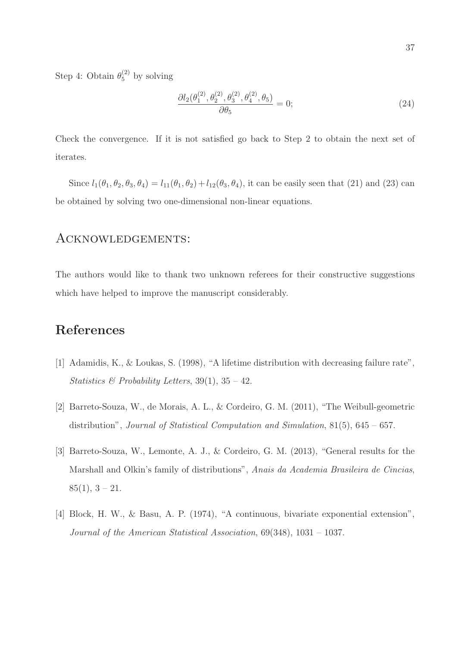Step 4: Obtain  $\theta_5^{(2)}$  by solving

$$
\frac{\partial l_2(\theta_1^{(2)}, \theta_2^{(2)}, \theta_3^{(2)}, \theta_4^{(2)}, \theta_5)}{\partial \theta_5} = 0;
$$
\n(24)

Check the convergence. If it is not satisfied go back to Step 2 to obtain the next set of iterates.

Since  $l_1(\theta_1, \theta_2, \theta_3, \theta_4) = l_{11}(\theta_1, \theta_2) + l_{12}(\theta_3, \theta_4)$ , it can be easily seen that (21) and (23) can be obtained by solving two one-dimensional non-linear equations.

### Acknowledgements:

The authors would like to thank two unknown referees for their constructive suggestions which have helped to improve the manuscript considerably.

## References

- [1] Adamidis, K., & Loukas, S. (1998), "A lifetime distribution with decreasing failure rate", Statistics & Probability Letters,  $39(1)$ ,  $35 - 42$ .
- [2] Barreto-Souza, W., de Morais, A. L., & Cordeiro, G. M. (2011), "The Weibull-geometric distribution", Journal of Statistical Computation and Simulation, 81(5), 645 – 657.
- [3] Barreto-Souza, W., Lemonte, A. J., & Cordeiro, G. M. (2013), "General results for the Marshall and Olkin's family of distributions", Anais da Academia Brasileira de Cincias,  $85(1),$  3 – 21.
- [4] Block, H. W., & Basu, A. P. (1974), "A continuous, bivariate exponential extension", Journal of the American Statistical Association, 69(348), 1031 – 1037.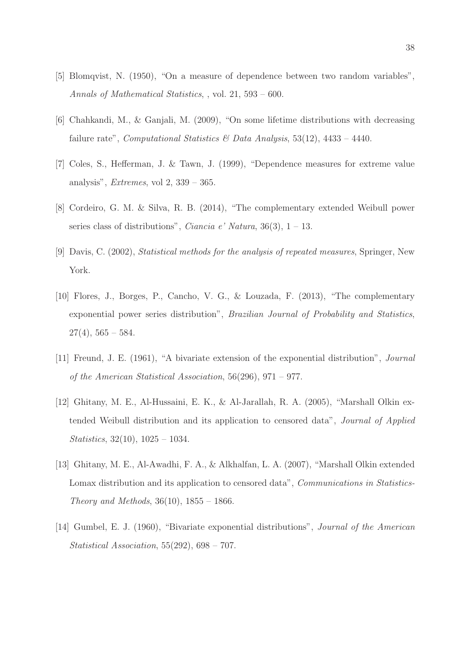- [5] Blomqvist, N. (1950), "On a measure of dependence between two random variables", Annals of Mathematical Statistics, , vol. 21, 593 – 600.
- [6] Chahkandi, M., & Ganjali, M. (2009), "On some lifetime distributions with decreasing failure rate", Computational Statistics & Data Analysis, 53(12), 4433 – 4440.
- [7] Coles, S., Hefferman, J. & Tawn, J. (1999), "Dependence measures for extreme value analysis", *Extremes*, vol 2,  $339 - 365$ .
- [8] Cordeiro, G. M. & Silva, R. B. (2014), "The complementary extended Weibull power series class of distributions", *Ciancia e' Natura*,  $36(3)$ ,  $1 - 13$ .
- [9] Davis, C. (2002), Statistical methods for the analysis of repeated measures, Springer, New York.
- [10] Flores, J., Borges, P., Cancho, V. G., & Louzada, F. (2013), "The complementary exponential power series distribution", Brazilian Journal of Probability and Statistics,  $27(4)$ ,  $565 - 584$ .
- [11] Freund, J. E. (1961), "A bivariate extension of the exponential distribution", Journal of the American Statistical Association, 56(296), 971 – 977.
- [12] Ghitany, M. E., Al-Hussaini, E. K., & Al-Jarallah, R. A. (2005), "Marshall Olkin extended Weibull distribution and its application to censored data", Journal of Applied Statistics, 32(10), 1025 – 1034.
- [13] Ghitany, M. E., Al-Awadhi, F. A., & Alkhalfan, L. A. (2007), "Marshall Olkin extended Lomax distribution and its application to censored data", *Communications in Statistics*-*Theory and Methods*,  $36(10)$ ,  $1855 - 1866$ .
- [14] Gumbel, E. J. (1960), "Bivariate exponential distributions", Journal of the American Statistical Association, 55(292), 698 – 707.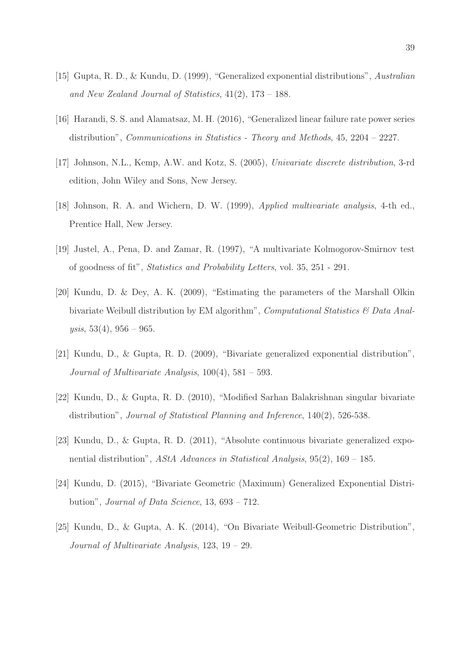- [15] Gupta, R. D., & Kundu, D. (1999), "Generalized exponential distributions", Australian and New Zealand Journal of Statistics, 41(2), 173 – 188.
- [16] Harandi, S. S. and Alamatsaz, M. H. (2016), "Generalized linear failure rate power series distribution", Communications in Statistics - Theory and Methods, 45, 2204 – 2227.
- [17] Johnson, N.L., Kemp, A.W. and Kotz, S. (2005), Univariate discrete distribution, 3-rd edition, John Wiley and Sons, New Jersey.
- [18] Johnson, R. A. and Wichern, D. W. (1999), Applied multivariate analysis, 4-th ed., Prentice Hall, New Jersey.
- [19] Justel, A., Pena, D. and Zamar, R. (1997), "A multivariate Kolmogorov-Smirnov test of goodness of fit", Statistics and Probability Letters, vol. 35, 251 - 291.
- [20] Kundu, D. & Dey, A. K. (2009), "Estimating the parameters of the Marshall Olkin bivariate Weibull distribution by EM algorithm", Computational Statistics & Data Analysis,  $53(4)$ ,  $956 - 965$ .
- [21] Kundu, D., & Gupta, R. D. (2009), "Bivariate generalized exponential distribution", Journal of Multivariate Analysis,  $100(4)$ ,  $581 - 593$ .
- [22] Kundu, D., & Gupta, R. D. (2010), "Modified Sarhan Balakrishnan singular bivariate distribution", Journal of Statistical Planning and Inference, 140(2), 526-538.
- [23] Kundu, D., & Gupta, R. D. (2011), "Absolute continuous bivariate generalized exponential distribution", AStA Advances in Statistical Analysis, 95(2), 169 – 185.
- [24] Kundu, D. (2015), "Bivariate Geometric (Maximum) Generalized Exponential Distribution", Journal of Data Science, 13, 693 – 712.
- [25] Kundu, D., & Gupta, A. K. (2014), "On Bivariate Weibull-Geometric Distribution", Journal of Multivariate Analysis, 123, 19 – 29.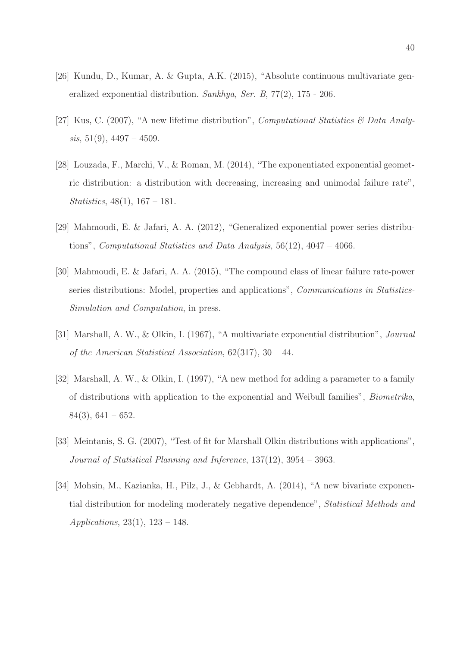- [26] Kundu, D., Kumar, A. & Gupta, A.K. (2015), "Absolute continuous multivariate generalized exponential distribution. Sankhya, Ser. B, 77(2), 175 - 206.
- [27] Kus, C. (2007), "A new lifetime distribution", Computational Statistics & Data Analysis,  $51(9)$ ,  $4497 - 4509$ .
- [28] Louzada, F., Marchi, V., & Roman, M. (2014), "The exponentiated exponential geometric distribution: a distribution with decreasing, increasing and unimodal failure rate", *Statistics*,  $48(1)$ ,  $167 - 181$ .
- [29] Mahmoudi, E. & Jafari, A. A. (2012), "Generalized exponential power series distributions", Computational Statistics and Data Analysis,  $56(12)$ ,  $4047 - 4066$ .
- [30] Mahmoudi, E. & Jafari, A. A. (2015), "The compound class of linear failure rate-power series distributions: Model, properties and applications", Communications in Statistics-Simulation and Computation, in press.
- [31] Marshall, A. W., & Olkin, I. (1967), "A multivariate exponential distribution", Journal of the American Statistical Association, 62(317), 30 – 44.
- [32] Marshall, A. W., & Olkin, I. (1997), "A new method for adding a parameter to a family of distributions with application to the exponential and Weibull families", Biometrika,  $84(3)$ ,  $641 - 652$ .
- [33] Meintanis, S. G. (2007), "Test of fit for Marshall Olkin distributions with applications", Journal of Statistical Planning and Inference, 137(12), 3954 – 3963.
- [34] Mohsin, M., Kazianka, H., Pilz, J., & Gebhardt, A. (2014), "A new bivariate exponential distribution for modeling moderately negative dependence", Statistical Methods and Applications,  $23(1)$ ,  $123 - 148$ .